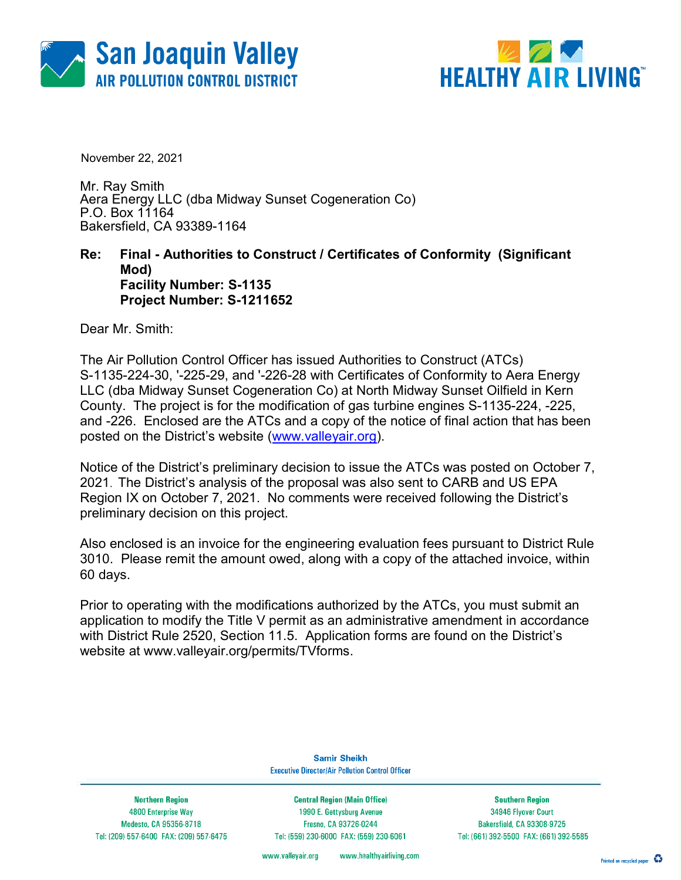



November 22, 2021

Mr. Ray Smith Aera Energy LLC (dba Midway Sunset Cogeneration Co) P.O. Box 11164 Bakersfield, CA 93389-1164

### Re: Final - Authorities to Construct / Certificates of Conformity (Significant Mod) Facility Number: S-1135 Project Number: S-1211652

Dear Mr. Smith:

The Air Pollution Control Officer has issued Authorities to Construct (ATCs) S-1135-224-30, '-225-29, and '-226-28 with Certificates of Conformity to Aera Energy LLC (dba Midway Sunset Cogeneration Co) at North Midway Sunset Oilfield in Kern County. The project is for the modification of gas turbine engines S-1135-224, -225, and -226. Enclosed are the ATCs and a copy of the notice of final action that has been posted on the District's website (www.valleyair.org).

Notice of the District's preliminary decision to issue the ATCs was posted on October 7, 2021. The District's analysis of the proposal was also sent to CARB and US EPA Region IX on October 7, 2021. No comments were received following the District's preliminary decision on this project.

Also enclosed is an invoice for the engineering evaluation fees pursuant to District Rule 3010. Please remit the amount owed, along with a copy of the attached invoice, within 60 days.

Prior to operating with the modifications authorized by the ATCs, you must submit an application to modify the Title V permit as an administrative amendment in accordance with District Rule 2520, Section 11.5. Application forms are found on the District's website at www.valleyair.org/permits/TVforms.

> **Samir Sheikh Executive Director/Air Pollution Control Officer**

**Northern Region** 4800 Enterprise Way Modesto, CA 95356-8718 Tel: (209) 557-6400 FAX: (209) 557-6475

**Central Region (Main Office)** 1990 E. Gettysburg Avenue Fresno, CA 93726-0244 Tel: (559) 230-6000 FAX: (559) 230-6061

**Southern Region** 34946 Flyover Court Bakersfield, CA 93308-9725 Tel: (661) 392-5500 FAX: (661) 392-5585

www.valleyair.org www.healthyairliving.com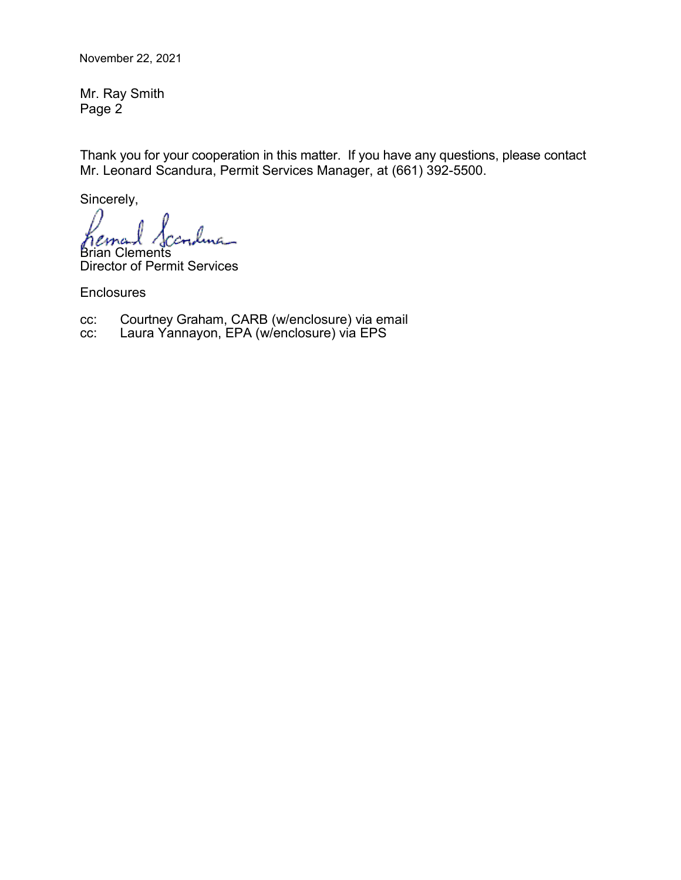November 22, 2021

Mr. Ray Smith Page 2

Thank you for your cooperation in this matter. If you have any questions, please contact Mr. Leonard Scandura, Permit Services Manager, at (661) 392-5500.

Sincerely,

Brian Clements

Director of Permit Services

**Enclosures** 

cc: Courtney Graham, CARB (w/enclosure) via email

cc: Laura Yannayon, EPA (w/enclosure) via EPS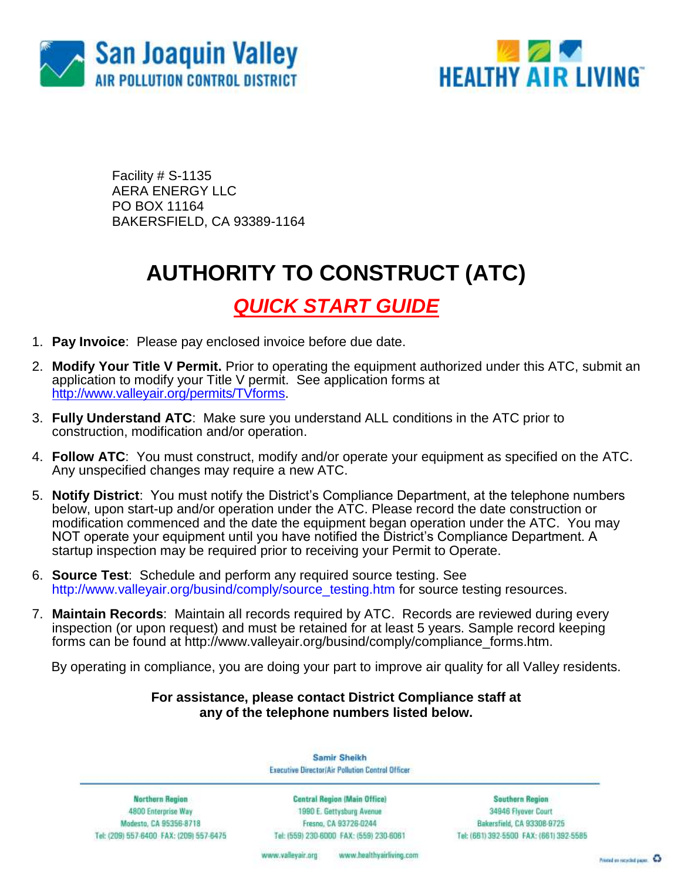



Facility # S-1135 AERA ENERGY LLC PO BOX 11164 BAKERSFIELD, CA 93389-1164

## **AUTHORITY TO CONSTRUCT (ATC)**

## *QUICK START GUIDE*

- 1. **Pay Invoice**: Please pay enclosed invoice before due date.
- 2. **Modify Your Title V Permit.** Prior to operating the equipment authorized under this ATC, submit an application to modify your Title V permit. See application forms at [http://www.valleyair.org/permits/TVforms.](http://www.valleyair.org/permits/TVforms)
- 3. **Fully Understand ATC**: Make sure you understand ALL conditions in the ATC prior to construction, modification and/or operation.
- 4. **Follow ATC**: You must construct, modify and/or operate your equipment as specified on the ATC. Any unspecified changes may require a new ATC.
- 5. **Notify District**: You must notify the District's Compliance Department, at the telephone numbers below, upon start-up and/or operation under the ATC. Please record the date construction or modification commenced and the date the equipment began operation under the ATC. You may NOT operate your equipment until you have notified the District's Compliance Department. A startup inspection may be required prior to receiving your Permit to Operate.
- 6. **Source Test**:Schedule and perform any required source testing. See [http://www.valleyair.org/busind/comply/source\\_testing.htm](http://www.valleyair.org/busind/comply/source_testing.htm) for source testing resources.
- 7. **Maintain Records**:Maintain all records required by ATC. Records are reviewed during every inspection (or upon request) and must be retained for at least 5 years. Sample record keeping forms can be found at http://www.valleyair.org/busind/comply/compliance\_forms.htm.

By operating in compliance, you are doing your part to improve air quality for all Valley residents.

### **For assistance, please contact District Compliance staff at any of the telephone numbers listed below.**

Samir Sheikh **Executive Director/Air Pollution Control Officer** 

Northern Region 4800 Enterprise Way Modesto, CA 95356-8718 Tel: (209) 557-6400 FAX: (209) 557-6475

Central Region (Main Office) 1990 E. Gettysburg Avenue Fresna, CA 93726-0244 Tel: (559) 230-6000 FAX: (559) 230-6061

**Southern Region** 34946 Flyover Court Bakersfield, CA 93308-9725 Tel: (661) 392-5500 FAX: (661) 392-5585

www.bealthyairliving.com www.valleyair.org

Preced on recycled paper. 43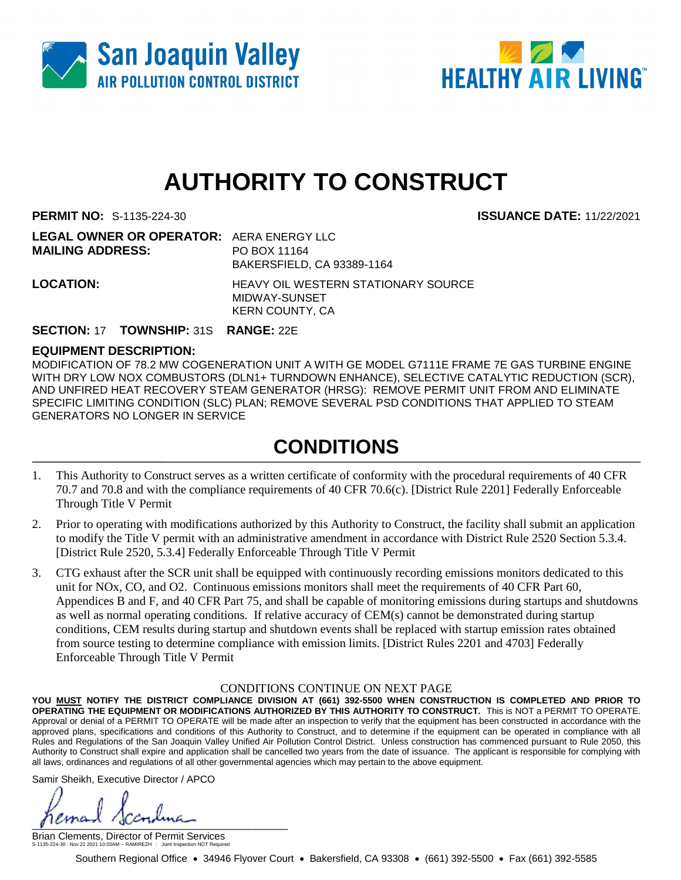



# **AUTHORITY TO CONSTRUCT**

**PERMIT NO:** S-1135-224-30 **ISSUANCE DATE:** 11/22/2021

| <b>LEGAL OWNER OR OPERATOR: AERA ENERGY LLC</b> |                                                      |
|-------------------------------------------------|------------------------------------------------------|
| <b>MAILING ADDRESS:</b>                         | PO BOX 11164                                         |
|                                                 | BAKERSFIELD, CA 93389-1164                           |
| <b>LOCATION:</b>                                | HEAVY OIL WESTERN STATIONARY SOURCE<br>MIDWAY-SUNSET |
|                                                 | <b>KERN COUNTY, CA</b>                               |

### **SECTION:** 17 **TOWNSHIP:** 31S **RANGE:** 22E

### **EQUIPMENT DESCRIPTION:**

MODIFICATION OF 78.2 MW COGENERATION UNIT A WITH GE MODEL G7111E FRAME 7E GAS TURBINE ENGINE WITH DRY LOW NOX COMBUSTORS (DLN1+ TURNDOWN ENHANCE), SELECTIVE CATALYTIC REDUCTION (SCR), AND UNFIRED HEAT RECOVERY STEAM GENERATOR (HRSG): REMOVE PERMIT UNIT FROM AND ELIMINATE SPECIFIC LIMITING CONDITION (SLC) PLAN; REMOVE SEVERAL PSD CONDITIONS THAT APPLIED TO STEAM GENERATORS NO LONGER IN SERVICE

### **CONDITIONS**

- 1. This Authority to Construct serves as a written certificate of conformity with the procedural requirements of 40 CFR 70.7 and 70.8 and with the compliance requirements of 40 CFR 70.6(c). [District Rule 2201] Federally Enforceable Through Title V Permit
- 2. Prior to operating with modifications authorized by this Authority to Construct, the facility shall submit an application to modify the Title V permit with an administrative amendment in accordance with District Rule 2520 Section 5.3.4. [District Rule 2520, 5.3.4] Federally Enforceable Through Title V Permit
- 3. CTG exhaust after the SCR unit shall be equipped with continuously recording emissions monitors dedicated to this unit for NOx, CO, and O2. Continuous emissions monitors shall meet the requirements of 40 CFR Part 60, Appendices B and F, and 40 CFR Part 75, and shall be capable of monitoring emissions during startups and shutdowns as well as normal operating conditions. If relative accuracy of CEM(s) cannot be demonstrated during startup conditions, CEM results during startup and shutdown events shall be replaced with startup emission rates obtained from source testing to determine compliance with emission limits. [District Rules 2201 and 4703] Federally Enforceable Through Title V Permit

### CONDITIONS CONTINUE ON NEXT PAGE

**YOU MUST NOTIFY THE DISTRICT COMPLIANCE DIVISION AT (661) 392-5500 WHEN CONSTRUCTION IS COMPLETED AND PRIOR TO OPERATING THE EQUIPMENT OR MODIFICATIONS AUTHORIZED BY THIS AUTHORITY TO CONSTRUCT.** This is NOT a PERMIT TO OPERATE. Approval or denial of a PERMIT TO OPERATE will be made after an inspection to verify that the equipment has been constructed in accordance with the approved plans, specifications and conditions of this Authority to Construct, and to determine if the equipment can be operated in compliance with all Rules and Regulations of the San Joaquin Valley Unified Air Pollution Control District. Unless construction has commenced pursuant to Rule 2050, this Authority to Construct shall expire and application shall be cancelled two years from the date of issuance. The applicant is responsible for complying with all laws, ordinances and regulations of all other governmental agencies which may pertain to the above equipment.

Samir Sheikh, Executive Director / APCO

 $\int$ 

Southern Regional Office • 34946 Flyover Court • Bakersfield, CA 93308 • (661) 392-5500 • Fax (661) 392-5585 Brian Clements, Director of Permit Services S-1135-224-30 : Nov 22 2021 10:03AM -- RAMIREZH : Joint Inspection NOT Required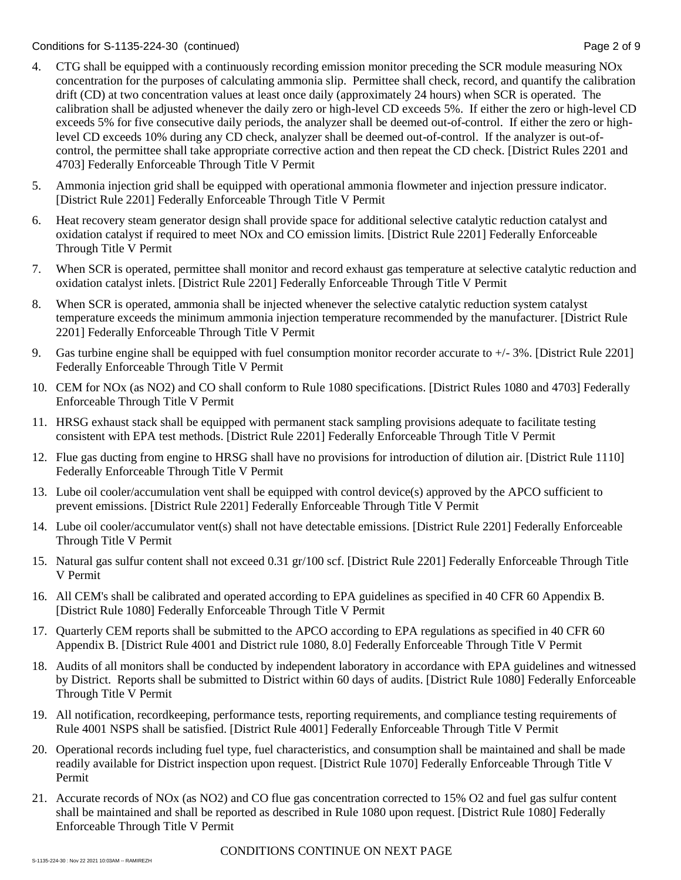### Conditions for S-1135-224-30 (continued) Page 2 of 9

- 4. CTG shall be equipped with a continuously recording emission monitor preceding the SCR module measuring NOx concentration for the purposes of calculating ammonia slip. Permittee shall check, record, and quantify the calibration drift (CD) at two concentration values at least once daily (approximately 24 hours) when SCR is operated. The calibration shall be adjusted whenever the daily zero or high-level CD exceeds 5%. If either the zero or high-level CD exceeds 5% for five consecutive daily periods, the analyzer shall be deemed out-of-control. If either the zero or highlevel CD exceeds 10% during any CD check, analyzer shall be deemed out-of-control. If the analyzer is out-ofcontrol, the permittee shall take appropriate corrective action and then repeat the CD check. [District Rules 2201 and 4703] Federally Enforceable Through Title V Permit
- 5. Ammonia injection grid shall be equipped with operational ammonia flowmeter and injection pressure indicator. [District Rule 2201] Federally Enforceable Through Title V Permit
- 6. Heat recovery steam generator design shall provide space for additional selective catalytic reduction catalyst and oxidation catalyst if required to meet NOx and CO emission limits. [District Rule 2201] Federally Enforceable Through Title V Permit
- 7. When SCR is operated, permittee shall monitor and record exhaust gas temperature at selective catalytic reduction and oxidation catalyst inlets. [District Rule 2201] Federally Enforceable Through Title V Permit
- 8. When SCR is operated, ammonia shall be injected whenever the selective catalytic reduction system catalyst temperature exceeds the minimum ammonia injection temperature recommended by the manufacturer. [District Rule 2201] Federally Enforceable Through Title V Permit
- 9. Gas turbine engine shall be equipped with fuel consumption monitor recorder accurate to +/- 3%. [District Rule 2201] Federally Enforceable Through Title V Permit
- 10. CEM for NOx (as NO2) and CO shall conform to Rule 1080 specifications. [District Rules 1080 and 4703] Federally Enforceable Through Title V Permit
- 11. HRSG exhaust stack shall be equipped with permanent stack sampling provisions adequate to facilitate testing consistent with EPA test methods. [District Rule 2201] Federally Enforceable Through Title V Permit
- 12. Flue gas ducting from engine to HRSG shall have no provisions for introduction of dilution air. [District Rule 1110] Federally Enforceable Through Title V Permit
- 13. Lube oil cooler/accumulation vent shall be equipped with control device(s) approved by the APCO sufficient to prevent emissions. [District Rule 2201] Federally Enforceable Through Title V Permit
- 14. Lube oil cooler/accumulator vent(s) shall not have detectable emissions. [District Rule 2201] Federally Enforceable Through Title V Permit
- 15. Natural gas sulfur content shall not exceed 0.31 gr/100 scf. [District Rule 2201] Federally Enforceable Through Title V Permit
- 16. All CEM's shall be calibrated and operated according to EPA guidelines as specified in 40 CFR 60 Appendix B. [District Rule 1080] Federally Enforceable Through Title V Permit
- 17. Quarterly CEM reports shall be submitted to the APCO according to EPA regulations as specified in 40 CFR 60 Appendix B. [District Rule 4001 and District rule 1080, 8.0] Federally Enforceable Through Title V Permit
- 18. Audits of all monitors shall be conducted by independent laboratory in accordance with EPA guidelines and witnessed by District. Reports shall be submitted to District within 60 days of audits. [District Rule 1080] Federally Enforceable Through Title V Permit
- 19. All notification, recordkeeping, performance tests, reporting requirements, and compliance testing requirements of Rule 4001 NSPS shall be satisfied. [District Rule 4001] Federally Enforceable Through Title V Permit
- 20. Operational records including fuel type, fuel characteristics, and consumption shall be maintained and shall be made readily available for District inspection upon request. [District Rule 1070] Federally Enforceable Through Title V Permit
- 21. Accurate records of NOx (as NO2) and CO flue gas concentration corrected to 15% O2 and fuel gas sulfur content shall be maintained and shall be reported as described in Rule 1080 upon request. [District Rule 1080] Federally Enforceable Through Title V Permit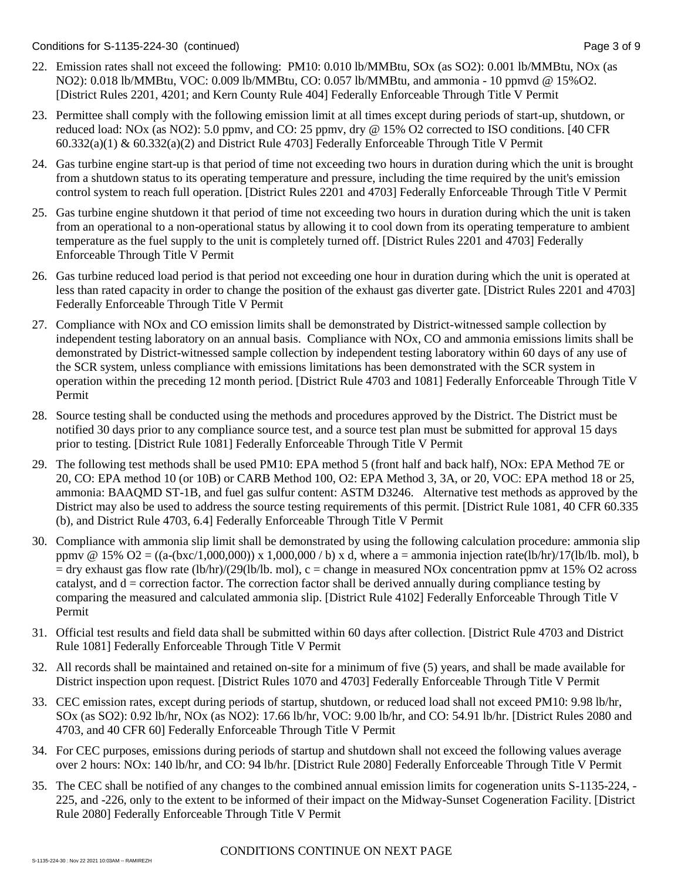Conditions for S-1135-224-30 (continued) Page 3 of 9

- 22. Emission rates shall not exceed the following: PM10: 0.010 lb/MMBtu, SOx (as SO2): 0.001 lb/MMBtu, NOx (as NO2): 0.018 lb/MMBtu, VOC: 0.009 lb/MMBtu, CO: 0.057 lb/MMBtu, and ammonia - 10 ppmvd @ 15%O2. [District Rules 2201, 4201; and Kern County Rule 404] Federally Enforceable Through Title V Permit
- 23. Permittee shall comply with the following emission limit at all times except during periods of start-up, shutdown, or reduced load: NOx (as NO2): 5.0 ppmv, and CO: 25 ppmv, dry @ 15% O2 corrected to ISO conditions. [40 CFR  $60.332(a)(1)$  &  $60.332(a)(2)$  and District Rule 4703] Federally Enforceable Through Title V Permit
- 24. Gas turbine engine start-up is that period of time not exceeding two hours in duration during which the unit is brought from a shutdown status to its operating temperature and pressure, including the time required by the unit's emission control system to reach full operation. [District Rules 2201 and 4703] Federally Enforceable Through Title V Permit
- 25. Gas turbine engine shutdown it that period of time not exceeding two hours in duration during which the unit is taken from an operational to a non-operational status by allowing it to cool down from its operating temperature to ambient temperature as the fuel supply to the unit is completely turned off. [District Rules 2201 and 4703] Federally Enforceable Through Title V Permit
- 26. Gas turbine reduced load period is that period not exceeding one hour in duration during which the unit is operated at less than rated capacity in order to change the position of the exhaust gas diverter gate. [District Rules 2201 and 4703] Federally Enforceable Through Title V Permit
- 27. Compliance with NOx and CO emission limits shall be demonstrated by District-witnessed sample collection by independent testing laboratory on an annual basis. Compliance with NOx, CO and ammonia emissions limits shall be demonstrated by District-witnessed sample collection by independent testing laboratory within 60 days of any use of the SCR system, unless compliance with emissions limitations has been demonstrated with the SCR system in operation within the preceding 12 month period. [District Rule 4703 and 1081] Federally Enforceable Through Title V Permit
- 28. Source testing shall be conducted using the methods and procedures approved by the District. The District must be notified 30 days prior to any compliance source test, and a source test plan must be submitted for approval 15 days prior to testing. [District Rule 1081] Federally Enforceable Through Title V Permit
- 29. The following test methods shall be used PM10: EPA method 5 (front half and back half), NOx: EPA Method 7E or 20, CO: EPA method 10 (or 10B) or CARB Method 100, O2: EPA Method 3, 3A, or 20, VOC: EPA method 18 or 25, ammonia: BAAQMD ST-1B, and fuel gas sulfur content: ASTM D3246. Alternative test methods as approved by the District may also be used to address the source testing requirements of this permit. [District Rule 1081, 40 CFR 60.335 (b), and District Rule 4703, 6.4] Federally Enforceable Through Title V Permit
- 30. Compliance with ammonia slip limit shall be demonstrated by using the following calculation procedure: ammonia slip ppmv @ 15% O2 =  $((a-(bxc/1,000,000)) \times 1,000,000 / b) \times d$ , where a = ammonia injection rate(lb/hr)/17(lb/lb. mol), b  $=$  dry exhaust gas flow rate (lb/hr)/(29(lb/lb. mol), c = change in measured NOx concentration ppmy at 15% O2 across catalyst, and  $d =$  correction factor. The correction factor shall be derived annually during compliance testing by comparing the measured and calculated ammonia slip. [District Rule 4102] Federally Enforceable Through Title V Permit
- 31. Official test results and field data shall be submitted within 60 days after collection. [District Rule 4703 and District Rule 1081] Federally Enforceable Through Title V Permit
- 32. All records shall be maintained and retained on-site for a minimum of five (5) years, and shall be made available for District inspection upon request. [District Rules 1070 and 4703] Federally Enforceable Through Title V Permit
- 33. CEC emission rates, except during periods of startup, shutdown, or reduced load shall not exceed PM10: 9.98 lb/hr, SOx (as SO2): 0.92 lb/hr, NOx (as NO2): 17.66 lb/hr, VOC: 9.00 lb/hr, and CO: 54.91 lb/hr. [District Rules 2080 and 4703, and 40 CFR 60] Federally Enforceable Through Title V Permit
- 34. For CEC purposes, emissions during periods of startup and shutdown shall not exceed the following values average over 2 hours: NOx: 140 lb/hr, and CO: 94 lb/hr. [District Rule 2080] Federally Enforceable Through Title V Permit
- 35. The CEC shall be notified of any changes to the combined annual emission limits for cogeneration units S-1135-224, 225, and -226, only to the extent to be informed of their impact on the Midway-Sunset Cogeneration Facility. [District Rule 2080] Federally Enforceable Through Title V Permit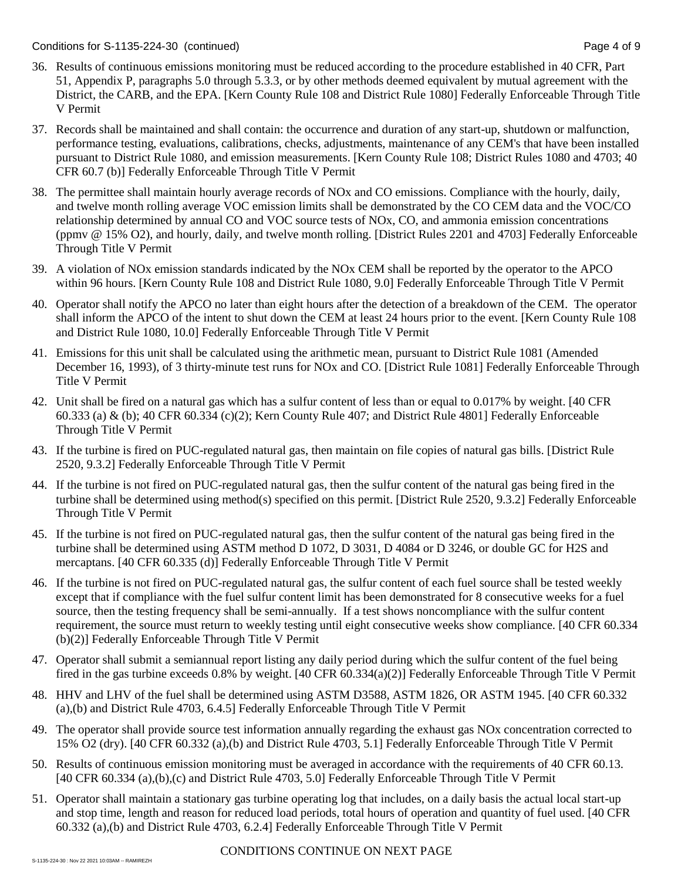### Conditions for S-1135-224-30 (continued) Page 4 of 9

- 36. Results of continuous emissions monitoring must be reduced according to the procedure established in 40 CFR, Part 51, Appendix P, paragraphs 5.0 through 5.3.3, or by other methods deemed equivalent by mutual agreement with the District, the CARB, and the EPA. [Kern County Rule 108 and District Rule 1080] Federally Enforceable Through Title V Permit
- 37. Records shall be maintained and shall contain: the occurrence and duration of any start-up, shutdown or malfunction, performance testing, evaluations, calibrations, checks, adjustments, maintenance of any CEM's that have been installed pursuant to District Rule 1080, and emission measurements. [Kern County Rule 108; District Rules 1080 and 4703; 40 CFR 60.7 (b)] Federally Enforceable Through Title V Permit
- 38. The permittee shall maintain hourly average records of NOx and CO emissions. Compliance with the hourly, daily, and twelve month rolling average VOC emission limits shall be demonstrated by the CO CEM data and the VOC/CO relationship determined by annual CO and VOC source tests of NOx, CO, and ammonia emission concentrations (ppmv @ 15% O2), and hourly, daily, and twelve month rolling. [District Rules 2201 and 4703] Federally Enforceable Through Title V Permit
- 39. A violation of NOx emission standards indicated by the NOx CEM shall be reported by the operator to the APCO within 96 hours. [Kern County Rule 108 and District Rule 1080, 9.0] Federally Enforceable Through Title V Permit
- 40. Operator shall notify the APCO no later than eight hours after the detection of a breakdown of the CEM. The operator shall inform the APCO of the intent to shut down the CEM at least 24 hours prior to the event. [Kern County Rule 108 and District Rule 1080, 10.0] Federally Enforceable Through Title V Permit
- 41. Emissions for this unit shall be calculated using the arithmetic mean, pursuant to District Rule 1081 (Amended December 16, 1993), of 3 thirty-minute test runs for NOx and CO. [District Rule 1081] Federally Enforceable Through Title V Permit
- 42. Unit shall be fired on a natural gas which has a sulfur content of less than or equal to 0.017% by weight. [40 CFR 60.333 (a) & (b); 40 CFR 60.334 (c)(2); Kern County Rule 407; and District Rule 4801] Federally Enforceable Through Title V Permit
- 43. If the turbine is fired on PUC-regulated natural gas, then maintain on file copies of natural gas bills. [District Rule 2520, 9.3.2] Federally Enforceable Through Title V Permit
- 44. If the turbine is not fired on PUC-regulated natural gas, then the sulfur content of the natural gas being fired in the turbine shall be determined using method(s) specified on this permit. [District Rule 2520, 9.3.2] Federally Enforceable Through Title V Permit
- 45. If the turbine is not fired on PUC-regulated natural gas, then the sulfur content of the natural gas being fired in the turbine shall be determined using ASTM method D 1072, D 3031, D 4084 or D 3246, or double GC for H2S and mercaptans. [40 CFR 60.335 (d)] Federally Enforceable Through Title V Permit
- 46. If the turbine is not fired on PUC-regulated natural gas, the sulfur content of each fuel source shall be tested weekly except that if compliance with the fuel sulfur content limit has been demonstrated for 8 consecutive weeks for a fuel source, then the testing frequency shall be semi-annually. If a test shows noncompliance with the sulfur content requirement, the source must return to weekly testing until eight consecutive weeks show compliance. [40 CFR 60.334 (b)(2)] Federally Enforceable Through Title V Permit
- 47. Operator shall submit a semiannual report listing any daily period during which the sulfur content of the fuel being fired in the gas turbine exceeds 0.8% by weight. [40 CFR 60.334(a)(2)] Federally Enforceable Through Title V Permit
- 48. HHV and LHV of the fuel shall be determined using ASTM D3588, ASTM 1826, OR ASTM 1945. [40 CFR 60.332 (a),(b) and District Rule 4703, 6.4.5] Federally Enforceable Through Title V Permit
- 49. The operator shall provide source test information annually regarding the exhaust gas NOx concentration corrected to 15% O2 (dry). [40 CFR 60.332 (a),(b) and District Rule 4703, 5.1] Federally Enforceable Through Title V Permit
- 50. Results of continuous emission monitoring must be averaged in accordance with the requirements of 40 CFR 60.13. [40 CFR 60.334 (a),(b),(c) and District Rule 4703, 5.0] Federally Enforceable Through Title V Permit
- 51. Operator shall maintain a stationary gas turbine operating log that includes, on a daily basis the actual local start-up and stop time, length and reason for reduced load periods, total hours of operation and quantity of fuel used. [40 CFR 60.332 (a),(b) and District Rule 4703, 6.2.4] Federally Enforceable Through Title V Permit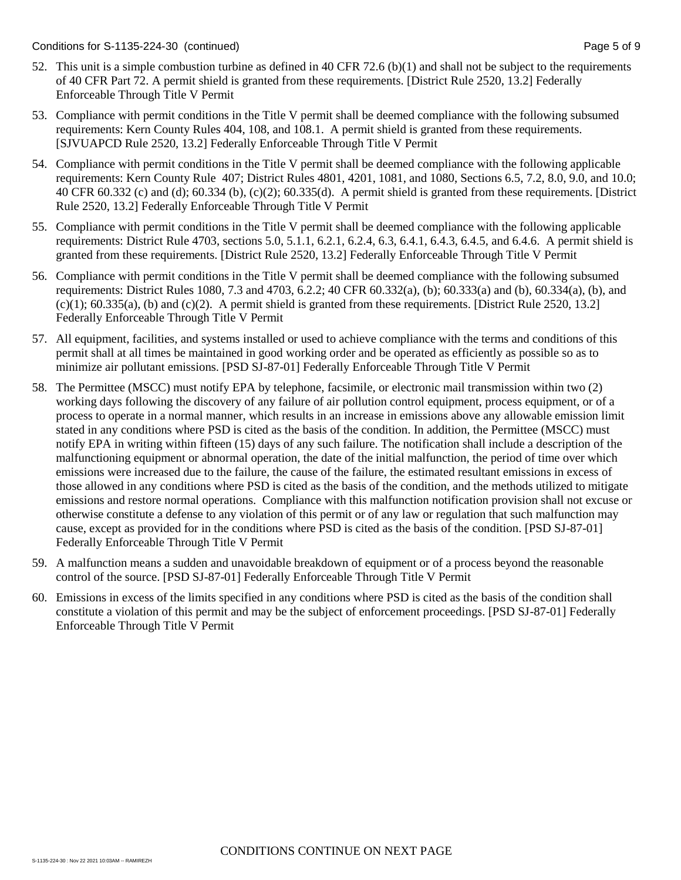- 52. This unit is a simple combustion turbine as defined in 40 CFR 72.6 (b)(1) and shall not be subject to the requirements of 40 CFR Part 72. A permit shield is granted from these requirements. [District Rule 2520, 13.2] Federally Enforceable Through Title V Permit
- 53. Compliance with permit conditions in the Title V permit shall be deemed compliance with the following subsumed requirements: Kern County Rules 404, 108, and 108.1. A permit shield is granted from these requirements. [SJVUAPCD Rule 2520, 13.2] Federally Enforceable Through Title V Permit
- 54. Compliance with permit conditions in the Title V permit shall be deemed compliance with the following applicable requirements: Kern County Rule 407; District Rules 4801, 4201, 1081, and 1080, Sections 6.5, 7.2, 8.0, 9.0, and 10.0; 40 CFR 60.332 (c) and (d); 60.334 (b), (c)(2); 60.335(d). A permit shield is granted from these requirements. [District Rule 2520, 13.2] Federally Enforceable Through Title V Permit
- 55. Compliance with permit conditions in the Title V permit shall be deemed compliance with the following applicable requirements: District Rule 4703, sections 5.0, 5.1.1, 6.2.1, 6.2.4, 6.3, 6.4.1, 6.4.3, 6.4.5, and 6.4.6. A permit shield is granted from these requirements. [District Rule 2520, 13.2] Federally Enforceable Through Title V Permit
- 56. Compliance with permit conditions in the Title V permit shall be deemed compliance with the following subsumed requirements: District Rules 1080, 7.3 and 4703, 6.2.2; 40 CFR 60.332(a), (b); 60.333(a) and (b), 60.334(a), (b), and  $(c)(1)$ ; 60.335(a), (b) and  $(c)(2)$ . A permit shield is granted from these requirements. [District Rule 2520, 13.2] Federally Enforceable Through Title V Permit
- 57. All equipment, facilities, and systems installed or used to achieve compliance with the terms and conditions of this permit shall at all times be maintained in good working order and be operated as efficiently as possible so as to minimize air pollutant emissions. [PSD SJ-87-01] Federally Enforceable Through Title V Permit
- 58. The Permittee (MSCC) must notify EPA by telephone, facsimile, or electronic mail transmission within two (2) working days following the discovery of any failure of air pollution control equipment, process equipment, or of a process to operate in a normal manner, which results in an increase in emissions above any allowable emission limit stated in any conditions where PSD is cited as the basis of the condition. In addition, the Permittee (MSCC) must notify EPA in writing within fifteen (15) days of any such failure. The notification shall include a description of the malfunctioning equipment or abnormal operation, the date of the initial malfunction, the period of time over which emissions were increased due to the failure, the cause of the failure, the estimated resultant emissions in excess of those allowed in any conditions where PSD is cited as the basis of the condition, and the methods utilized to mitigate emissions and restore normal operations. Compliance with this malfunction notification provision shall not excuse or otherwise constitute a defense to any violation of this permit or of any law or regulation that such malfunction may cause, except as provided for in the conditions where PSD is cited as the basis of the condition. [PSD SJ-87-01] Federally Enforceable Through Title V Permit
- 59. A malfunction means a sudden and unavoidable breakdown of equipment or of a process beyond the reasonable control of the source. [PSD SJ-87-01] Federally Enforceable Through Title V Permit
- 60. Emissions in excess of the limits specified in any conditions where PSD is cited as the basis of the condition shall constitute a violation of this permit and may be the subject of enforcement proceedings. [PSD SJ-87-01] Federally Enforceable Through Title V Permit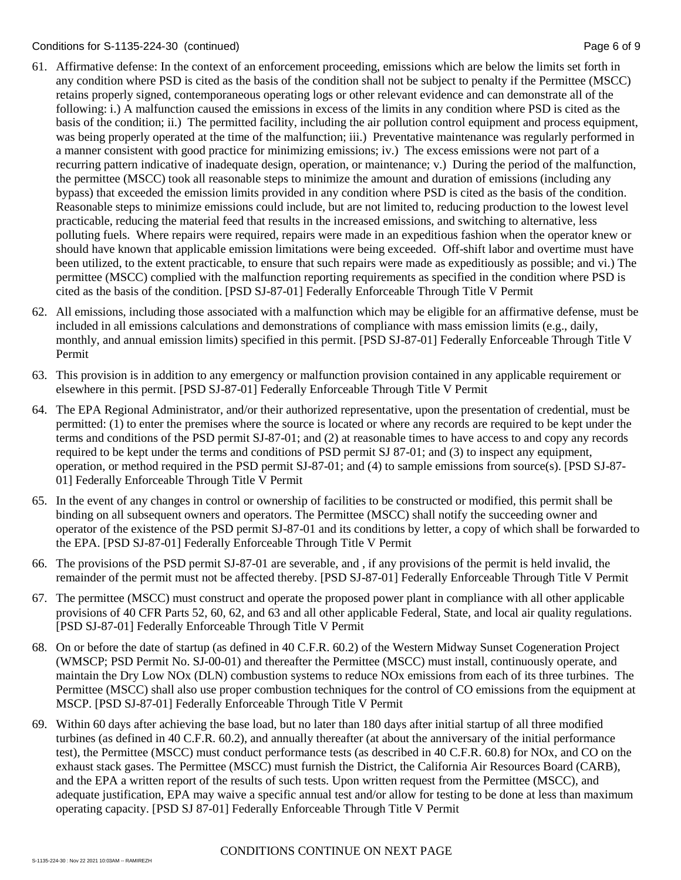### Conditions for S-1135-224-30 (continued) Conditions for S-1135-224-30 (continued)

- 61. Affirmative defense: In the context of an enforcement proceeding, emissions which are below the limits set forth in any condition where PSD is cited as the basis of the condition shall not be subject to penalty if the Permittee (MSCC) retains properly signed, contemporaneous operating logs or other relevant evidence and can demonstrate all of the following: i.) A malfunction caused the emissions in excess of the limits in any condition where PSD is cited as the basis of the condition; ii.) The permitted facility, including the air pollution control equipment and process equipment, was being properly operated at the time of the malfunction; iii.) Preventative maintenance was regularly performed in a manner consistent with good practice for minimizing emissions; iv.) The excess emissions were not part of a recurring pattern indicative of inadequate design, operation, or maintenance; v.) During the period of the malfunction, the permittee (MSCC) took all reasonable steps to minimize the amount and duration of emissions (including any bypass) that exceeded the emission limits provided in any condition where PSD is cited as the basis of the condition. Reasonable steps to minimize emissions could include, but are not limited to, reducing production to the lowest level practicable, reducing the material feed that results in the increased emissions, and switching to alternative, less polluting fuels. Where repairs were required, repairs were made in an expeditious fashion when the operator knew or should have known that applicable emission limitations were being exceeded. Off-shift labor and overtime must have been utilized, to the extent practicable, to ensure that such repairs were made as expeditiously as possible; and vi.) The permittee (MSCC) complied with the malfunction reporting requirements as specified in the condition where PSD is cited as the basis of the condition. [PSD SJ-87-01] Federally Enforceable Through Title V Permit
- 62. All emissions, including those associated with a malfunction which may be eligible for an affirmative defense, must be included in all emissions calculations and demonstrations of compliance with mass emission limits (e.g., daily, monthly, and annual emission limits) specified in this permit. [PSD SJ-87-01] Federally Enforceable Through Title V Permit
- 63. This provision is in addition to any emergency or malfunction provision contained in any applicable requirement or elsewhere in this permit. [PSD SJ-87-01] Federally Enforceable Through Title V Permit
- 64. The EPA Regional Administrator, and/or their authorized representative, upon the presentation of credential, must be permitted: (1) to enter the premises where the source is located or where any records are required to be kept under the terms and conditions of the PSD permit SJ-87-01; and (2) at reasonable times to have access to and copy any records required to be kept under the terms and conditions of PSD permit SJ 87-01; and (3) to inspect any equipment, operation, or method required in the PSD permit SJ-87-01; and (4) to sample emissions from source(s). [PSD SJ-87- 01] Federally Enforceable Through Title V Permit
- 65. In the event of any changes in control or ownership of facilities to be constructed or modified, this permit shall be binding on all subsequent owners and operators. The Permittee (MSCC) shall notify the succeeding owner and operator of the existence of the PSD permit SJ-87-01 and its conditions by letter, a copy of which shall be forwarded to the EPA. [PSD SJ-87-01] Federally Enforceable Through Title V Permit
- 66. The provisions of the PSD permit SJ-87-01 are severable, and , if any provisions of the permit is held invalid, the remainder of the permit must not be affected thereby. [PSD SJ-87-01] Federally Enforceable Through Title V Permit
- 67. The permittee (MSCC) must construct and operate the proposed power plant in compliance with all other applicable provisions of 40 CFR Parts 52, 60, 62, and 63 and all other applicable Federal, State, and local air quality regulations. [PSD SJ-87-01] Federally Enforceable Through Title V Permit
- 68. On or before the date of startup (as defined in 40 C.F.R. 60.2) of the Western Midway Sunset Cogeneration Project (WMSCP; PSD Permit No. SJ-00-01) and thereafter the Permittee (MSCC) must install, continuously operate, and maintain the Dry Low NOx (DLN) combustion systems to reduce NOx emissions from each of its three turbines. The Permittee (MSCC) shall also use proper combustion techniques for the control of CO emissions from the equipment at MSCP. [PSD SJ-87-01] Federally Enforceable Through Title V Permit
- 69. Within 60 days after achieving the base load, but no later than 180 days after initial startup of all three modified turbines (as defined in 40 C.F.R. 60.2), and annually thereafter (at about the anniversary of the initial performance test), the Permittee (MSCC) must conduct performance tests (as described in 40 C.F.R. 60.8) for NOx, and CO on the exhaust stack gases. The Permittee (MSCC) must furnish the District, the California Air Resources Board (CARB), and the EPA a written report of the results of such tests. Upon written request from the Permittee (MSCC), and adequate justification, EPA may waive a specific annual test and/or allow for testing to be done at less than maximum operating capacity. [PSD SJ 87-01] Federally Enforceable Through Title V Permit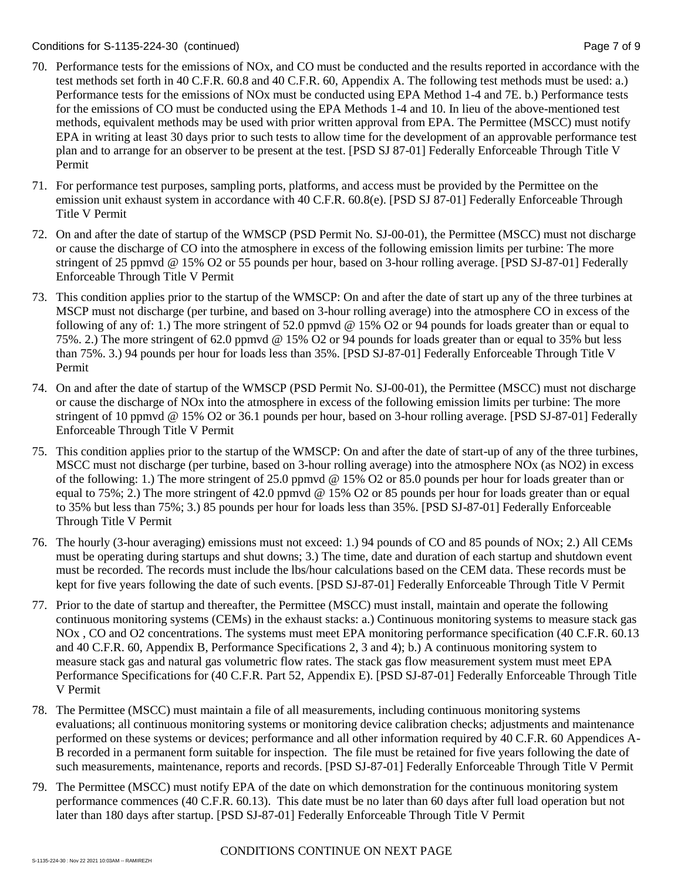### Conditions for S-1135-224-30 (continued) Page 7 of 9

- 70. Performance tests for the emissions of NOx, and CO must be conducted and the results reported in accordance with the test methods set forth in 40 C.F.R. 60.8 and 40 C.F.R. 60, Appendix A. The following test methods must be used: a.) Performance tests for the emissions of NOx must be conducted using EPA Method 1-4 and 7E. b.) Performance tests for the emissions of CO must be conducted using the EPA Methods 1-4 and 10. In lieu of the above-mentioned test methods, equivalent methods may be used with prior written approval from EPA. The Permittee (MSCC) must notify EPA in writing at least 30 days prior to such tests to allow time for the development of an approvable performance test plan and to arrange for an observer to be present at the test. [PSD SJ 87-01] Federally Enforceable Through Title V Permit
- 71. For performance test purposes, sampling ports, platforms, and access must be provided by the Permittee on the emission unit exhaust system in accordance with 40 C.F.R. 60.8(e). [PSD SJ 87-01] Federally Enforceable Through Title V Permit
- 72. On and after the date of startup of the WMSCP (PSD Permit No. SJ-00-01), the Permittee (MSCC) must not discharge or cause the discharge of CO into the atmosphere in excess of the following emission limits per turbine: The more stringent of 25 ppmvd @ 15% O2 or 55 pounds per hour, based on 3-hour rolling average. [PSD SJ-87-01] Federally Enforceable Through Title V Permit
- 73. This condition applies prior to the startup of the WMSCP: On and after the date of start up any of the three turbines at MSCP must not discharge (per turbine, and based on 3-hour rolling average) into the atmosphere CO in excess of the following of any of: 1.) The more stringent of 52.0 ppmvd @ 15% O2 or 94 pounds for loads greater than or equal to 75%. 2.) The more stringent of 62.0 ppmvd @ 15% O2 or 94 pounds for loads greater than or equal to 35% but less than 75%. 3.) 94 pounds per hour for loads less than 35%. [PSD SJ-87-01] Federally Enforceable Through Title V Permit
- 74. On and after the date of startup of the WMSCP (PSD Permit No. SJ-00-01), the Permittee (MSCC) must not discharge or cause the discharge of NOx into the atmosphere in excess of the following emission limits per turbine: The more stringent of 10 ppmvd @ 15% O2 or 36.1 pounds per hour, based on 3-hour rolling average. [PSD SJ-87-01] Federally Enforceable Through Title V Permit
- 75. This condition applies prior to the startup of the WMSCP: On and after the date of start-up of any of the three turbines, MSCC must not discharge (per turbine, based on 3-hour rolling average) into the atmosphere NOx (as NO2) in excess of the following: 1.) The more stringent of 25.0 ppmvd @ 15% O2 or 85.0 pounds per hour for loads greater than or equal to 75%; 2.) The more stringent of 42.0 ppmvd @ 15% O2 or 85 pounds per hour for loads greater than or equal to 35% but less than 75%; 3.) 85 pounds per hour for loads less than 35%. [PSD SJ-87-01] Federally Enforceable Through Title V Permit
- 76. The hourly (3-hour averaging) emissions must not exceed: 1.) 94 pounds of CO and 85 pounds of NOx; 2.) All CEMs must be operating during startups and shut downs; 3.) The time, date and duration of each startup and shutdown event must be recorded. The records must include the lbs/hour calculations based on the CEM data. These records must be kept for five years following the date of such events. [PSD SJ-87-01] Federally Enforceable Through Title V Permit
- 77. Prior to the date of startup and thereafter, the Permittee (MSCC) must install, maintain and operate the following continuous monitoring systems (CEMs) in the exhaust stacks: a.) Continuous monitoring systems to measure stack gas NOx , CO and O2 concentrations. The systems must meet EPA monitoring performance specification (40 C.F.R. 60.13 and 40 C.F.R. 60, Appendix B, Performance Specifications 2, 3 and 4); b.) A continuous monitoring system to measure stack gas and natural gas volumetric flow rates. The stack gas flow measurement system must meet EPA Performance Specifications for (40 C.F.R. Part 52, Appendix E). [PSD SJ-87-01] Federally Enforceable Through Title V Permit
- 78. The Permittee (MSCC) must maintain a file of all measurements, including continuous monitoring systems evaluations; all continuous monitoring systems or monitoring device calibration checks; adjustments and maintenance performed on these systems or devices; performance and all other information required by 40 C.F.R. 60 Appendices A-B recorded in a permanent form suitable for inspection. The file must be retained for five years following the date of such measurements, maintenance, reports and records. [PSD SJ-87-01] Federally Enforceable Through Title V Permit
- 79. The Permittee (MSCC) must notify EPA of the date on which demonstration for the continuous monitoring system performance commences (40 C.F.R. 60.13). This date must be no later than 60 days after full load operation but not later than 180 days after startup. [PSD SJ-87-01] Federally Enforceable Through Title V Permit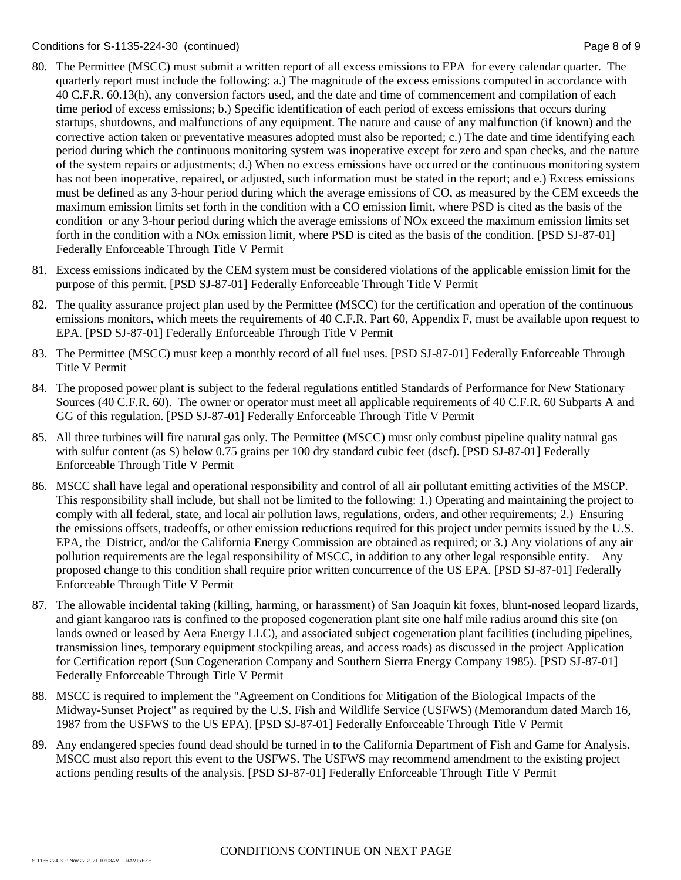### Conditions for S-1135-224-30 (continued) Page 8 of 9

- 80. The Permittee (MSCC) must submit a written report of all excess emissions to EPA for every calendar quarter. The quarterly report must include the following: a.) The magnitude of the excess emissions computed in accordance with 40 C.F.R. 60.13(h), any conversion factors used, and the date and time of commencement and compilation of each time period of excess emissions; b.) Specific identification of each period of excess emissions that occurs during startups, shutdowns, and malfunctions of any equipment. The nature and cause of any malfunction (if known) and the corrective action taken or preventative measures adopted must also be reported; c.) The date and time identifying each period during which the continuous monitoring system was inoperative except for zero and span checks, and the nature of the system repairs or adjustments; d.) When no excess emissions have occurred or the continuous monitoring system has not been inoperative, repaired, or adjusted, such information must be stated in the report; and e.) Excess emissions must be defined as any 3-hour period during which the average emissions of CO, as measured by the CEM exceeds the maximum emission limits set forth in the condition with a CO emission limit, where PSD is cited as the basis of the condition or any 3-hour period during which the average emissions of NOx exceed the maximum emission limits set forth in the condition with a NOx emission limit, where PSD is cited as the basis of the condition. [PSD SJ-87-01] Federally Enforceable Through Title V Permit
- 81. Excess emissions indicated by the CEM system must be considered violations of the applicable emission limit for the purpose of this permit. [PSD SJ-87-01] Federally Enforceable Through Title V Permit
- 82. The quality assurance project plan used by the Permittee (MSCC) for the certification and operation of the continuous emissions monitors, which meets the requirements of 40 C.F.R. Part 60, Appendix F, must be available upon request to EPA. [PSD SJ-87-01] Federally Enforceable Through Title V Permit
- 83. The Permittee (MSCC) must keep a monthly record of all fuel uses. [PSD SJ-87-01] Federally Enforceable Through Title V Permit
- 84. The proposed power plant is subject to the federal regulations entitled Standards of Performance for New Stationary Sources (40 C.F.R. 60). The owner or operator must meet all applicable requirements of 40 C.F.R. 60 Subparts A and GG of this regulation. [PSD SJ-87-01] Federally Enforceable Through Title V Permit
- 85. All three turbines will fire natural gas only. The Permittee (MSCC) must only combust pipeline quality natural gas with sulfur content (as S) below 0.75 grains per 100 dry standard cubic feet (dscf). [PSD SJ-87-01] Federally Enforceable Through Title V Permit
- 86. MSCC shall have legal and operational responsibility and control of all air pollutant emitting activities of the MSCP. This responsibility shall include, but shall not be limited to the following: 1.) Operating and maintaining the project to comply with all federal, state, and local air pollution laws, regulations, orders, and other requirements; 2.) Ensuring the emissions offsets, tradeoffs, or other emission reductions required for this project under permits issued by the U.S. EPA, the District, and/or the California Energy Commission are obtained as required; or 3.) Any violations of any air pollution requirements are the legal responsibility of MSCC, in addition to any other legal responsible entity. Any proposed change to this condition shall require prior written concurrence of the US EPA. [PSD SJ-87-01] Federally Enforceable Through Title V Permit
- 87. The allowable incidental taking (killing, harming, or harassment) of San Joaquin kit foxes, blunt-nosed leopard lizards, and giant kangaroo rats is confined to the proposed cogeneration plant site one half mile radius around this site (on lands owned or leased by Aera Energy LLC), and associated subject cogeneration plant facilities (including pipelines, transmission lines, temporary equipment stockpiling areas, and access roads) as discussed in the project Application for Certification report (Sun Cogeneration Company and Southern Sierra Energy Company 1985). [PSD SJ-87-01] Federally Enforceable Through Title V Permit
- 88. MSCC is required to implement the "Agreement on Conditions for Mitigation of the Biological Impacts of the Midway-Sunset Project" as required by the U.S. Fish and Wildlife Service (USFWS) (Memorandum dated March 16, 1987 from the USFWS to the US EPA). [PSD SJ-87-01] Federally Enforceable Through Title V Permit
- 89. Any endangered species found dead should be turned in to the California Department of Fish and Game for Analysis. MSCC must also report this event to the USFWS. The USFWS may recommend amendment to the existing project actions pending results of the analysis. [PSD SJ-87-01] Federally Enforceable Through Title V Permit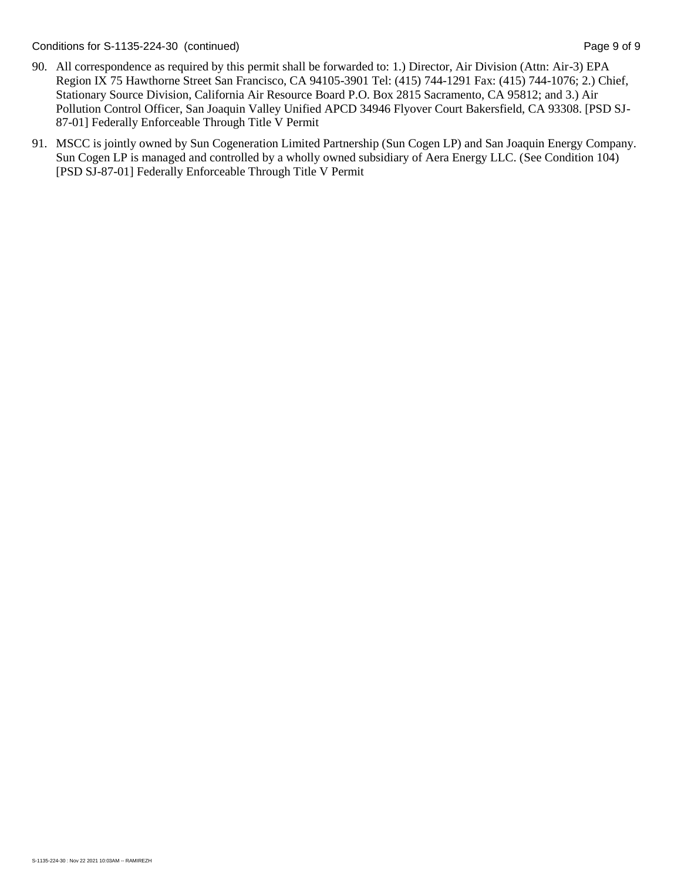Conditions for S-1135-224-30 (continued) Page 9 of 9

- 90. All correspondence as required by this permit shall be forwarded to: 1.) Director, Air Division (Attn: Air-3) EPA Region IX 75 Hawthorne Street San Francisco, CA 94105-3901 Tel: (415) 744-1291 Fax: (415) 744-1076; 2.) Chief, Stationary Source Division, California Air Resource Board P.O. Box 2815 Sacramento, CA 95812; and 3.) Air Pollution Control Officer, San Joaquin Valley Unified APCD 34946 Flyover Court Bakersfield, CA 93308. [PSD SJ-87-01] Federally Enforceable Through Title V Permit
- 91. MSCC is jointly owned by Sun Cogeneration Limited Partnership (Sun Cogen LP) and San Joaquin Energy Company. Sun Cogen LP is managed and controlled by a wholly owned subsidiary of Aera Energy LLC. (See Condition 104) [PSD SJ-87-01] Federally Enforceable Through Title V Permit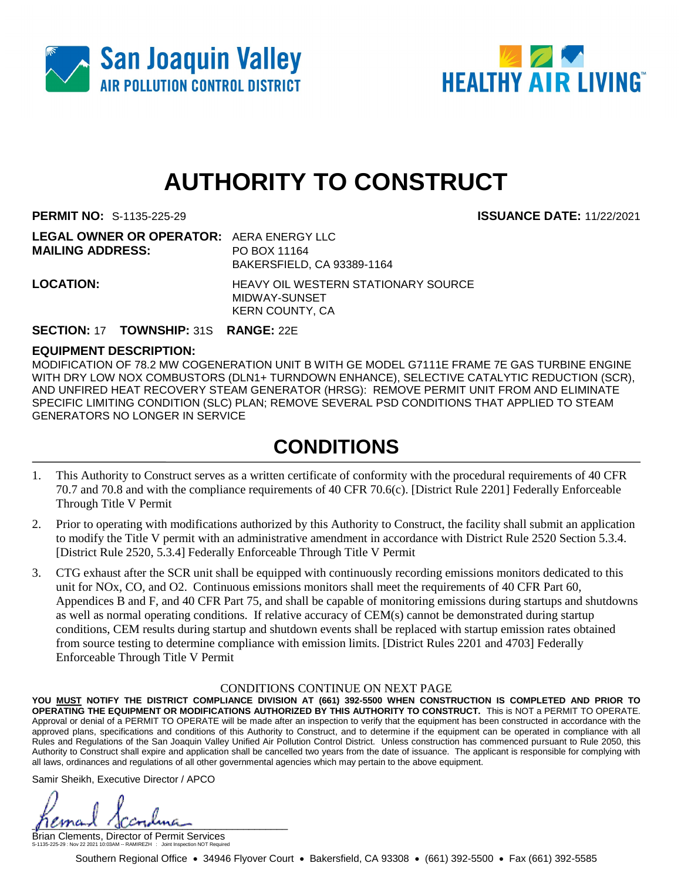



# **AUTHORITY TO CONSTRUCT**

**PERMIT NO:** S-1135-225-29 **ISSUANCE DATE:** 11/22/2021

| <b>LEGAL OWNER OR OPERATOR: AERA ENERGY LLC</b> |                                            |
|-------------------------------------------------|--------------------------------------------|
| <b>MAILING ADDRESS:</b>                         | PO BOX 11164                               |
|                                                 | BAKERSFIELD, CA 93389-1164                 |
| <b>LOCATION:</b>                                | <b>HEAVY OIL WESTERN STATIONARY SOURCE</b> |
|                                                 | MIDWAY-SUNSET                              |
|                                                 | KERN COUNTY, CA                            |

### **SECTION:** 17 **TOWNSHIP:** 31S **RANGE:** 22E

### **EQUIPMENT DESCRIPTION:**

MODIFICATION OF 78.2 MW COGENERATION UNIT B WITH GE MODEL G7111E FRAME 7E GAS TURBINE ENGINE WITH DRY LOW NOX COMBUSTORS (DLN1+ TURNDOWN ENHANCE), SELECTIVE CATALYTIC REDUCTION (SCR), AND UNFIRED HEAT RECOVERY STEAM GENERATOR (HRSG): REMOVE PERMIT UNIT FROM AND ELIMINATE SPECIFIC LIMITING CONDITION (SLC) PLAN; REMOVE SEVERAL PSD CONDITIONS THAT APPLIED TO STEAM GENERATORS NO LONGER IN SERVICE

### **CONDITIONS**

- 1. This Authority to Construct serves as a written certificate of conformity with the procedural requirements of 40 CFR 70.7 and 70.8 and with the compliance requirements of 40 CFR 70.6(c). [District Rule 2201] Federally Enforceable Through Title V Permit
- 2. Prior to operating with modifications authorized by this Authority to Construct, the facility shall submit an application to modify the Title V permit with an administrative amendment in accordance with District Rule 2520 Section 5.3.4. [District Rule 2520, 5.3.4] Federally Enforceable Through Title V Permit
- 3. CTG exhaust after the SCR unit shall be equipped with continuously recording emissions monitors dedicated to this unit for NOx, CO, and O2. Continuous emissions monitors shall meet the requirements of 40 CFR Part 60, Appendices B and F, and 40 CFR Part 75, and shall be capable of monitoring emissions during startups and shutdowns as well as normal operating conditions. If relative accuracy of CEM(s) cannot be demonstrated during startup conditions, CEM results during startup and shutdown events shall be replaced with startup emission rates obtained from source testing to determine compliance with emission limits. [District Rules 2201 and 4703] Federally Enforceable Through Title V Permit

### CONDITIONS CONTINUE ON NEXT PAGE

**YOU MUST NOTIFY THE DISTRICT COMPLIANCE DIVISION AT (661) 392-5500 WHEN CONSTRUCTION IS COMPLETED AND PRIOR TO OPERATING THE EQUIPMENT OR MODIFICATIONS AUTHORIZED BY THIS AUTHORITY TO CONSTRUCT.** This is NOT a PERMIT TO OPERATE. Approval or denial of a PERMIT TO OPERATE will be made after an inspection to verify that the equipment has been constructed in accordance with the approved plans, specifications and conditions of this Authority to Construct, and to determine if the equipment can be operated in compliance with all Rules and Regulations of the San Joaquin Valley Unified Air Pollution Control District. Unless construction has commenced pursuant to Rule 2050, this Authority to Construct shall expire and application shall be cancelled two years from the date of issuance. The applicant is responsible for complying with all laws, ordinances and regulations of all other governmental agencies which may pertain to the above equipment.

Samir Sheikh, Executive Director / APCO

 $\mu$ 

Brian Clements, Director of Permit Services S-1135-225-29 : Nov 22 2021 10:03AM -- RAMIREZH : Joint Inspection NOT Required

Southern Regional Office • 34946 Flyover Court • Bakersfield, CA 93308 • (661) 392-5500 • Fax (661) 392-5585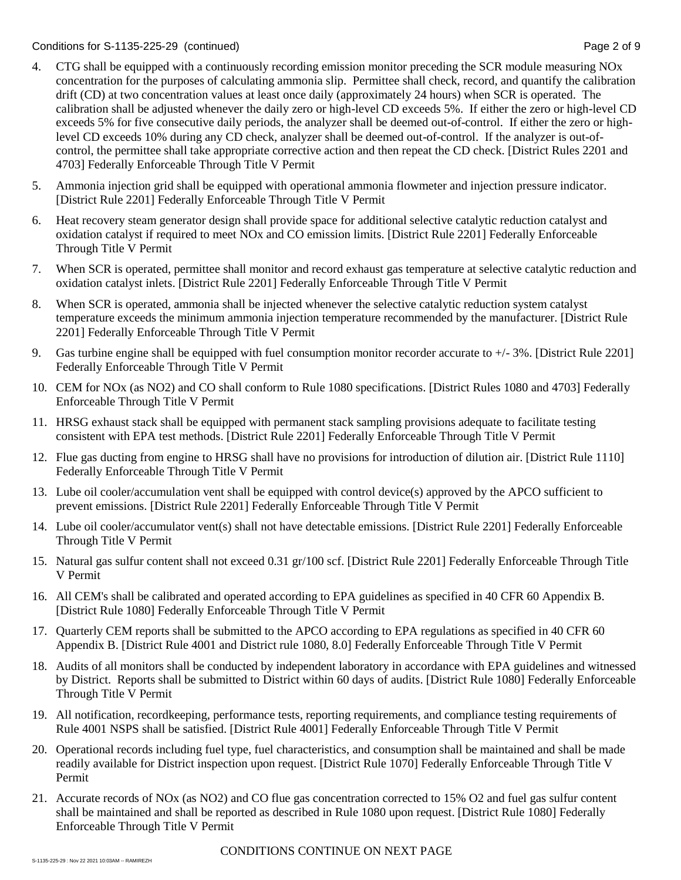### Conditions for S-1135-225-29 (continued) Page 2 of 9

- 4. CTG shall be equipped with a continuously recording emission monitor preceding the SCR module measuring NOx concentration for the purposes of calculating ammonia slip. Permittee shall check, record, and quantify the calibration drift (CD) at two concentration values at least once daily (approximately 24 hours) when SCR is operated. The calibration shall be adjusted whenever the daily zero or high-level CD exceeds 5%. If either the zero or high-level CD exceeds 5% for five consecutive daily periods, the analyzer shall be deemed out-of-control. If either the zero or highlevel CD exceeds 10% during any CD check, analyzer shall be deemed out-of-control. If the analyzer is out-ofcontrol, the permittee shall take appropriate corrective action and then repeat the CD check. [District Rules 2201 and 4703] Federally Enforceable Through Title V Permit
- 5. Ammonia injection grid shall be equipped with operational ammonia flowmeter and injection pressure indicator. [District Rule 2201] Federally Enforceable Through Title V Permit
- 6. Heat recovery steam generator design shall provide space for additional selective catalytic reduction catalyst and oxidation catalyst if required to meet NOx and CO emission limits. [District Rule 2201] Federally Enforceable Through Title V Permit
- 7. When SCR is operated, permittee shall monitor and record exhaust gas temperature at selective catalytic reduction and oxidation catalyst inlets. [District Rule 2201] Federally Enforceable Through Title V Permit
- 8. When SCR is operated, ammonia shall be injected whenever the selective catalytic reduction system catalyst temperature exceeds the minimum ammonia injection temperature recommended by the manufacturer. [District Rule 2201] Federally Enforceable Through Title V Permit
- 9. Gas turbine engine shall be equipped with fuel consumption monitor recorder accurate to +/- 3%. [District Rule 2201] Federally Enforceable Through Title V Permit
- 10. CEM for NOx (as NO2) and CO shall conform to Rule 1080 specifications. [District Rules 1080 and 4703] Federally Enforceable Through Title V Permit
- 11. HRSG exhaust stack shall be equipped with permanent stack sampling provisions adequate to facilitate testing consistent with EPA test methods. [District Rule 2201] Federally Enforceable Through Title V Permit
- 12. Flue gas ducting from engine to HRSG shall have no provisions for introduction of dilution air. [District Rule 1110] Federally Enforceable Through Title V Permit
- 13. Lube oil cooler/accumulation vent shall be equipped with control device(s) approved by the APCO sufficient to prevent emissions. [District Rule 2201] Federally Enforceable Through Title V Permit
- 14. Lube oil cooler/accumulator vent(s) shall not have detectable emissions. [District Rule 2201] Federally Enforceable Through Title V Permit
- 15. Natural gas sulfur content shall not exceed 0.31 gr/100 scf. [District Rule 2201] Federally Enforceable Through Title V Permit
- 16. All CEM's shall be calibrated and operated according to EPA guidelines as specified in 40 CFR 60 Appendix B. [District Rule 1080] Federally Enforceable Through Title V Permit
- 17. Quarterly CEM reports shall be submitted to the APCO according to EPA regulations as specified in 40 CFR 60 Appendix B. [District Rule 4001 and District rule 1080, 8.0] Federally Enforceable Through Title V Permit
- 18. Audits of all monitors shall be conducted by independent laboratory in accordance with EPA guidelines and witnessed by District. Reports shall be submitted to District within 60 days of audits. [District Rule 1080] Federally Enforceable Through Title V Permit
- 19. All notification, recordkeeping, performance tests, reporting requirements, and compliance testing requirements of Rule 4001 NSPS shall be satisfied. [District Rule 4001] Federally Enforceable Through Title V Permit
- 20. Operational records including fuel type, fuel characteristics, and consumption shall be maintained and shall be made readily available for District inspection upon request. [District Rule 1070] Federally Enforceable Through Title V Permit
- 21. Accurate records of NOx (as NO2) and CO flue gas concentration corrected to 15% O2 and fuel gas sulfur content shall be maintained and shall be reported as described in Rule 1080 upon request. [District Rule 1080] Federally Enforceable Through Title V Permit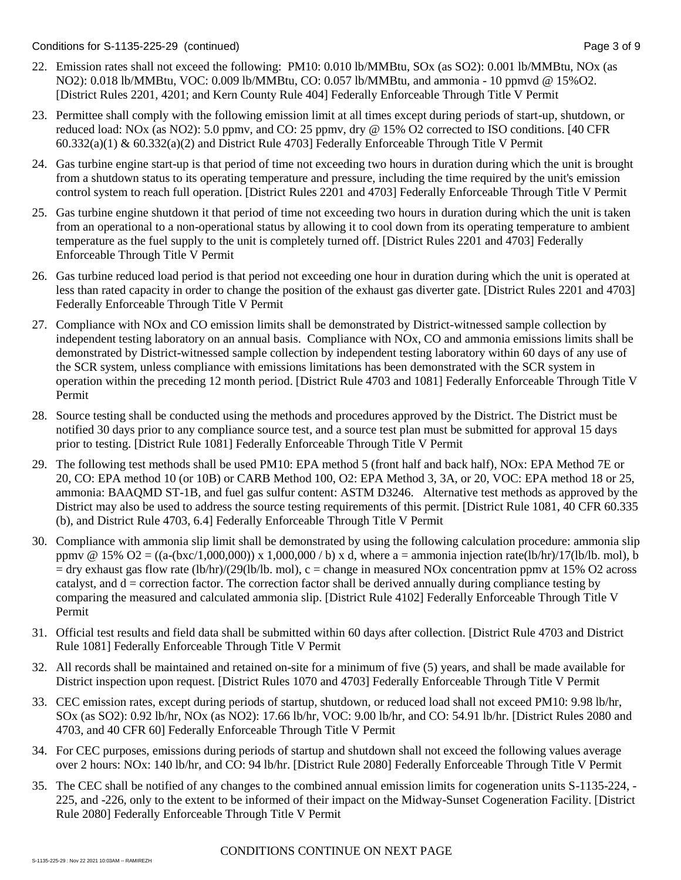Conditions for S-1135-225-29 (continued) Page 3 of 9

- 22. Emission rates shall not exceed the following: PM10: 0.010 lb/MMBtu, SOx (as SO2): 0.001 lb/MMBtu, NOx (as NO2): 0.018 lb/MMBtu, VOC: 0.009 lb/MMBtu, CO: 0.057 lb/MMBtu, and ammonia - 10 ppmvd @ 15%O2. [District Rules 2201, 4201; and Kern County Rule 404] Federally Enforceable Through Title V Permit
- 23. Permittee shall comply with the following emission limit at all times except during periods of start-up, shutdown, or reduced load: NOx (as NO2): 5.0 ppmv, and CO: 25 ppmv, dry @ 15% O2 corrected to ISO conditions. [40 CFR  $60.332(a)(1)$  &  $60.332(a)(2)$  and District Rule 4703] Federally Enforceable Through Title V Permit
- 24. Gas turbine engine start-up is that period of time not exceeding two hours in duration during which the unit is brought from a shutdown status to its operating temperature and pressure, including the time required by the unit's emission control system to reach full operation. [District Rules 2201 and 4703] Federally Enforceable Through Title V Permit
- 25. Gas turbine engine shutdown it that period of time not exceeding two hours in duration during which the unit is taken from an operational to a non-operational status by allowing it to cool down from its operating temperature to ambient temperature as the fuel supply to the unit is completely turned off. [District Rules 2201 and 4703] Federally Enforceable Through Title V Permit
- 26. Gas turbine reduced load period is that period not exceeding one hour in duration during which the unit is operated at less than rated capacity in order to change the position of the exhaust gas diverter gate. [District Rules 2201 and 4703] Federally Enforceable Through Title V Permit
- 27. Compliance with NOx and CO emission limits shall be demonstrated by District-witnessed sample collection by independent testing laboratory on an annual basis. Compliance with NOx, CO and ammonia emissions limits shall be demonstrated by District-witnessed sample collection by independent testing laboratory within 60 days of any use of the SCR system, unless compliance with emissions limitations has been demonstrated with the SCR system in operation within the preceding 12 month period. [District Rule 4703 and 1081] Federally Enforceable Through Title V Permit
- 28. Source testing shall be conducted using the methods and procedures approved by the District. The District must be notified 30 days prior to any compliance source test, and a source test plan must be submitted for approval 15 days prior to testing. [District Rule 1081] Federally Enforceable Through Title V Permit
- 29. The following test methods shall be used PM10: EPA method 5 (front half and back half), NOx: EPA Method 7E or 20, CO: EPA method 10 (or 10B) or CARB Method 100, O2: EPA Method 3, 3A, or 20, VOC: EPA method 18 or 25, ammonia: BAAQMD ST-1B, and fuel gas sulfur content: ASTM D3246. Alternative test methods as approved by the District may also be used to address the source testing requirements of this permit. [District Rule 1081, 40 CFR 60.335 (b), and District Rule 4703, 6.4] Federally Enforceable Through Title V Permit
- 30. Compliance with ammonia slip limit shall be demonstrated by using the following calculation procedure: ammonia slip ppmv @ 15% O2 =  $((a-(bxc/1,000,000)) \times 1,000,000 / b) \times d$ , where a = ammonia injection rate(lb/hr)/17(lb/lb. mol), b  $=$  dry exhaust gas flow rate (lb/hr)/(29(lb/lb. mol), c = change in measured NOx concentration ppmy at 15% O2 across catalyst, and  $d =$  correction factor. The correction factor shall be derived annually during compliance testing by comparing the measured and calculated ammonia slip. [District Rule 4102] Federally Enforceable Through Title V Permit
- 31. Official test results and field data shall be submitted within 60 days after collection. [District Rule 4703 and District Rule 1081] Federally Enforceable Through Title V Permit
- 32. All records shall be maintained and retained on-site for a minimum of five (5) years, and shall be made available for District inspection upon request. [District Rules 1070 and 4703] Federally Enforceable Through Title V Permit
- 33. CEC emission rates, except during periods of startup, shutdown, or reduced load shall not exceed PM10: 9.98 lb/hr, SOx (as SO2): 0.92 lb/hr, NOx (as NO2): 17.66 lb/hr, VOC: 9.00 lb/hr, and CO: 54.91 lb/hr. [District Rules 2080 and 4703, and 40 CFR 60] Federally Enforceable Through Title V Permit
- 34. For CEC purposes, emissions during periods of startup and shutdown shall not exceed the following values average over 2 hours: NOx: 140 lb/hr, and CO: 94 lb/hr. [District Rule 2080] Federally Enforceable Through Title V Permit
- 35. The CEC shall be notified of any changes to the combined annual emission limits for cogeneration units S-1135-224, 225, and -226, only to the extent to be informed of their impact on the Midway-Sunset Cogeneration Facility. [District Rule 2080] Federally Enforceable Through Title V Permit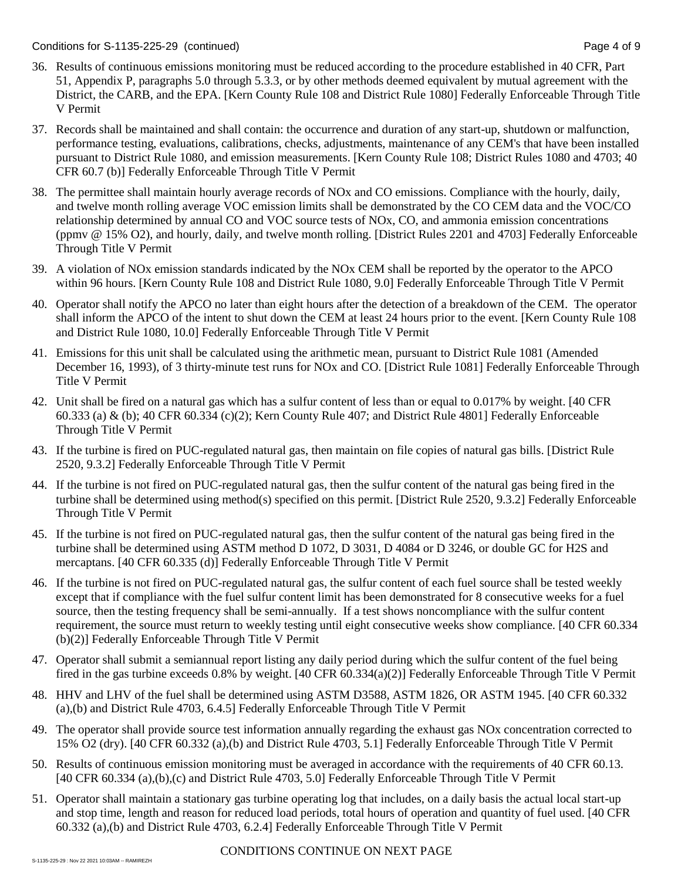### Conditions for S-1135-225-29 (continued) Page 4 of 9

- 36. Results of continuous emissions monitoring must be reduced according to the procedure established in 40 CFR, Part 51, Appendix P, paragraphs 5.0 through 5.3.3, or by other methods deemed equivalent by mutual agreement with the District, the CARB, and the EPA. [Kern County Rule 108 and District Rule 1080] Federally Enforceable Through Title V Permit
- 37. Records shall be maintained and shall contain: the occurrence and duration of any start-up, shutdown or malfunction, performance testing, evaluations, calibrations, checks, adjustments, maintenance of any CEM's that have been installed pursuant to District Rule 1080, and emission measurements. [Kern County Rule 108; District Rules 1080 and 4703; 40 CFR 60.7 (b)] Federally Enforceable Through Title V Permit
- 38. The permittee shall maintain hourly average records of NOx and CO emissions. Compliance with the hourly, daily, and twelve month rolling average VOC emission limits shall be demonstrated by the CO CEM data and the VOC/CO relationship determined by annual CO and VOC source tests of NOx, CO, and ammonia emission concentrations (ppmv @ 15% O2), and hourly, daily, and twelve month rolling. [District Rules 2201 and 4703] Federally Enforceable Through Title V Permit
- 39. A violation of NOx emission standards indicated by the NOx CEM shall be reported by the operator to the APCO within 96 hours. [Kern County Rule 108 and District Rule 1080, 9.0] Federally Enforceable Through Title V Permit
- 40. Operator shall notify the APCO no later than eight hours after the detection of a breakdown of the CEM. The operator shall inform the APCO of the intent to shut down the CEM at least 24 hours prior to the event. [Kern County Rule 108 and District Rule 1080, 10.0] Federally Enforceable Through Title V Permit
- 41. Emissions for this unit shall be calculated using the arithmetic mean, pursuant to District Rule 1081 (Amended December 16, 1993), of 3 thirty-minute test runs for NOx and CO. [District Rule 1081] Federally Enforceable Through Title V Permit
- 42. Unit shall be fired on a natural gas which has a sulfur content of less than or equal to 0.017% by weight. [40 CFR 60.333 (a) & (b); 40 CFR 60.334 (c)(2); Kern County Rule 407; and District Rule 4801] Federally Enforceable Through Title V Permit
- 43. If the turbine is fired on PUC-regulated natural gas, then maintain on file copies of natural gas bills. [District Rule 2520, 9.3.2] Federally Enforceable Through Title V Permit
- 44. If the turbine is not fired on PUC-regulated natural gas, then the sulfur content of the natural gas being fired in the turbine shall be determined using method(s) specified on this permit. [District Rule 2520, 9.3.2] Federally Enforceable Through Title V Permit
- 45. If the turbine is not fired on PUC-regulated natural gas, then the sulfur content of the natural gas being fired in the turbine shall be determined using ASTM method D 1072, D 3031, D 4084 or D 3246, or double GC for H2S and mercaptans. [40 CFR 60.335 (d)] Federally Enforceable Through Title V Permit
- 46. If the turbine is not fired on PUC-regulated natural gas, the sulfur content of each fuel source shall be tested weekly except that if compliance with the fuel sulfur content limit has been demonstrated for 8 consecutive weeks for a fuel source, then the testing frequency shall be semi-annually. If a test shows noncompliance with the sulfur content requirement, the source must return to weekly testing until eight consecutive weeks show compliance. [40 CFR 60.334 (b)(2)] Federally Enforceable Through Title V Permit
- 47. Operator shall submit a semiannual report listing any daily period during which the sulfur content of the fuel being fired in the gas turbine exceeds 0.8% by weight. [40 CFR 60.334(a)(2)] Federally Enforceable Through Title V Permit
- 48. HHV and LHV of the fuel shall be determined using ASTM D3588, ASTM 1826, OR ASTM 1945. [40 CFR 60.332 (a),(b) and District Rule 4703, 6.4.5] Federally Enforceable Through Title V Permit
- 49. The operator shall provide source test information annually regarding the exhaust gas NOx concentration corrected to 15% O2 (dry). [40 CFR 60.332 (a),(b) and District Rule 4703, 5.1] Federally Enforceable Through Title V Permit
- 50. Results of continuous emission monitoring must be averaged in accordance with the requirements of 40 CFR 60.13. [40 CFR 60.334 (a),(b),(c) and District Rule 4703, 5.0] Federally Enforceable Through Title V Permit
- 51. Operator shall maintain a stationary gas turbine operating log that includes, on a daily basis the actual local start-up and stop time, length and reason for reduced load periods, total hours of operation and quantity of fuel used. [40 CFR 60.332 (a),(b) and District Rule 4703, 6.2.4] Federally Enforceable Through Title V Permit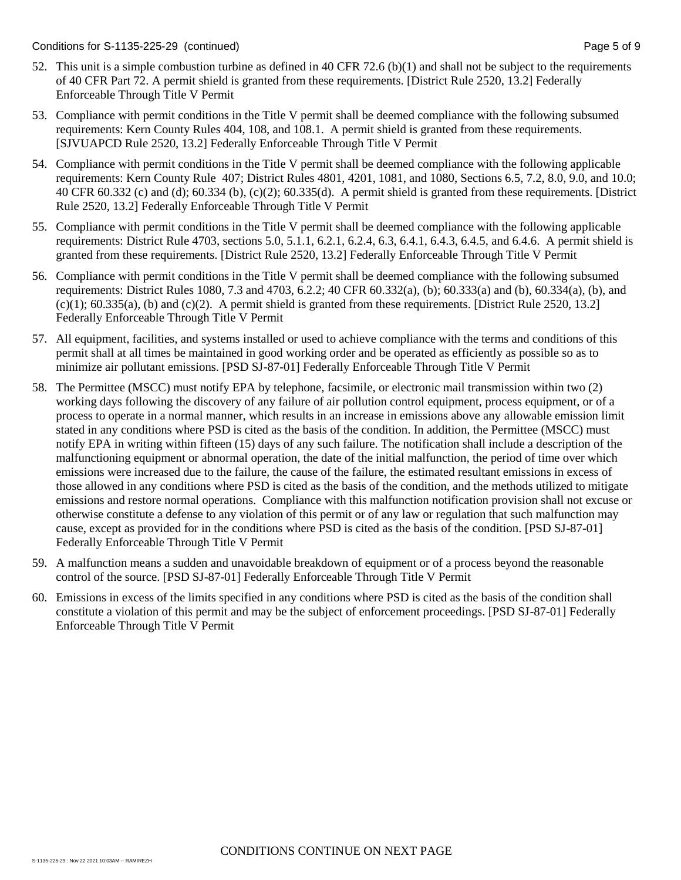- 52. This unit is a simple combustion turbine as defined in 40 CFR 72.6 (b)(1) and shall not be subject to the requirements of 40 CFR Part 72. A permit shield is granted from these requirements. [District Rule 2520, 13.2] Federally Enforceable Through Title V Permit
- 53. Compliance with permit conditions in the Title V permit shall be deemed compliance with the following subsumed requirements: Kern County Rules 404, 108, and 108.1. A permit shield is granted from these requirements. [SJVUAPCD Rule 2520, 13.2] Federally Enforceable Through Title V Permit
- 54. Compliance with permit conditions in the Title V permit shall be deemed compliance with the following applicable requirements: Kern County Rule 407; District Rules 4801, 4201, 1081, and 1080, Sections 6.5, 7.2, 8.0, 9.0, and 10.0; 40 CFR 60.332 (c) and (d); 60.334 (b), (c)(2); 60.335(d). A permit shield is granted from these requirements. [District Rule 2520, 13.2] Federally Enforceable Through Title V Permit
- 55. Compliance with permit conditions in the Title V permit shall be deemed compliance with the following applicable requirements: District Rule 4703, sections 5.0, 5.1.1, 6.2.1, 6.2.4, 6.3, 6.4.1, 6.4.3, 6.4.5, and 6.4.6. A permit shield is granted from these requirements. [District Rule 2520, 13.2] Federally Enforceable Through Title V Permit
- 56. Compliance with permit conditions in the Title V permit shall be deemed compliance with the following subsumed requirements: District Rules 1080, 7.3 and 4703, 6.2.2; 40 CFR 60.332(a), (b); 60.333(a) and (b), 60.334(a), (b), and  $(c)(1)$ ; 60.335(a), (b) and  $(c)(2)$ . A permit shield is granted from these requirements. [District Rule 2520, 13.2] Federally Enforceable Through Title V Permit
- 57. All equipment, facilities, and systems installed or used to achieve compliance with the terms and conditions of this permit shall at all times be maintained in good working order and be operated as efficiently as possible so as to minimize air pollutant emissions. [PSD SJ-87-01] Federally Enforceable Through Title V Permit
- 58. The Permittee (MSCC) must notify EPA by telephone, facsimile, or electronic mail transmission within two (2) working days following the discovery of any failure of air pollution control equipment, process equipment, or of a process to operate in a normal manner, which results in an increase in emissions above any allowable emission limit stated in any conditions where PSD is cited as the basis of the condition. In addition, the Permittee (MSCC) must notify EPA in writing within fifteen (15) days of any such failure. The notification shall include a description of the malfunctioning equipment or abnormal operation, the date of the initial malfunction, the period of time over which emissions were increased due to the failure, the cause of the failure, the estimated resultant emissions in excess of those allowed in any conditions where PSD is cited as the basis of the condition, and the methods utilized to mitigate emissions and restore normal operations. Compliance with this malfunction notification provision shall not excuse or otherwise constitute a defense to any violation of this permit or of any law or regulation that such malfunction may cause, except as provided for in the conditions where PSD is cited as the basis of the condition. [PSD SJ-87-01] Federally Enforceable Through Title V Permit
- 59. A malfunction means a sudden and unavoidable breakdown of equipment or of a process beyond the reasonable control of the source. [PSD SJ-87-01] Federally Enforceable Through Title V Permit
- 60. Emissions in excess of the limits specified in any conditions where PSD is cited as the basis of the condition shall constitute a violation of this permit and may be the subject of enforcement proceedings. [PSD SJ-87-01] Federally Enforceable Through Title V Permit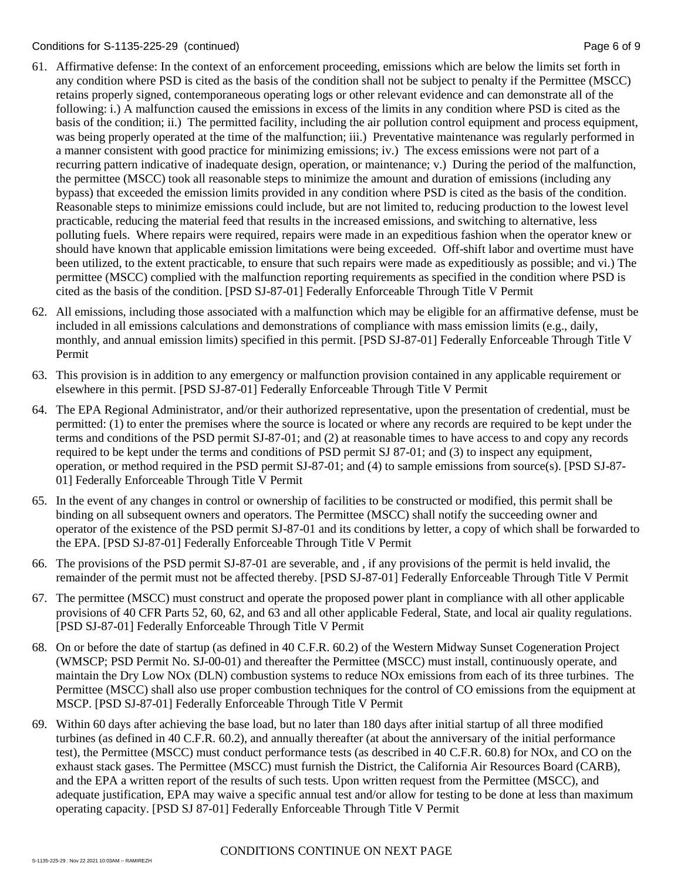### Conditions for S-1135-225-29 (continued) Page 6 of 9

- 61. Affirmative defense: In the context of an enforcement proceeding, emissions which are below the limits set forth in any condition where PSD is cited as the basis of the condition shall not be subject to penalty if the Permittee (MSCC) retains properly signed, contemporaneous operating logs or other relevant evidence and can demonstrate all of the following: i.) A malfunction caused the emissions in excess of the limits in any condition where PSD is cited as the basis of the condition; ii.) The permitted facility, including the air pollution control equipment and process equipment, was being properly operated at the time of the malfunction; iii.) Preventative maintenance was regularly performed in a manner consistent with good practice for minimizing emissions; iv.) The excess emissions were not part of a recurring pattern indicative of inadequate design, operation, or maintenance; v.) During the period of the malfunction, the permittee (MSCC) took all reasonable steps to minimize the amount and duration of emissions (including any bypass) that exceeded the emission limits provided in any condition where PSD is cited as the basis of the condition. Reasonable steps to minimize emissions could include, but are not limited to, reducing production to the lowest level practicable, reducing the material feed that results in the increased emissions, and switching to alternative, less polluting fuels. Where repairs were required, repairs were made in an expeditious fashion when the operator knew or should have known that applicable emission limitations were being exceeded. Off-shift labor and overtime must have been utilized, to the extent practicable, to ensure that such repairs were made as expeditiously as possible; and vi.) The permittee (MSCC) complied with the malfunction reporting requirements as specified in the condition where PSD is cited as the basis of the condition. [PSD SJ-87-01] Federally Enforceable Through Title V Permit
- 62. All emissions, including those associated with a malfunction which may be eligible for an affirmative defense, must be included in all emissions calculations and demonstrations of compliance with mass emission limits (e.g., daily, monthly, and annual emission limits) specified in this permit. [PSD SJ-87-01] Federally Enforceable Through Title V Permit
- 63. This provision is in addition to any emergency or malfunction provision contained in any applicable requirement or elsewhere in this permit. [PSD SJ-87-01] Federally Enforceable Through Title V Permit
- 64. The EPA Regional Administrator, and/or their authorized representative, upon the presentation of credential, must be permitted: (1) to enter the premises where the source is located or where any records are required to be kept under the terms and conditions of the PSD permit SJ-87-01; and (2) at reasonable times to have access to and copy any records required to be kept under the terms and conditions of PSD permit SJ 87-01; and (3) to inspect any equipment, operation, or method required in the PSD permit SJ-87-01; and (4) to sample emissions from source(s). [PSD SJ-87- 01] Federally Enforceable Through Title V Permit
- 65. In the event of any changes in control or ownership of facilities to be constructed or modified, this permit shall be binding on all subsequent owners and operators. The Permittee (MSCC) shall notify the succeeding owner and operator of the existence of the PSD permit SJ-87-01 and its conditions by letter, a copy of which shall be forwarded to the EPA. [PSD SJ-87-01] Federally Enforceable Through Title V Permit
- 66. The provisions of the PSD permit SJ-87-01 are severable, and , if any provisions of the permit is held invalid, the remainder of the permit must not be affected thereby. [PSD SJ-87-01] Federally Enforceable Through Title V Permit
- 67. The permittee (MSCC) must construct and operate the proposed power plant in compliance with all other applicable provisions of 40 CFR Parts 52, 60, 62, and 63 and all other applicable Federal, State, and local air quality regulations. [PSD SJ-87-01] Federally Enforceable Through Title V Permit
- 68. On or before the date of startup (as defined in 40 C.F.R. 60.2) of the Western Midway Sunset Cogeneration Project (WMSCP; PSD Permit No. SJ-00-01) and thereafter the Permittee (MSCC) must install, continuously operate, and maintain the Dry Low NOx (DLN) combustion systems to reduce NOx emissions from each of its three turbines. The Permittee (MSCC) shall also use proper combustion techniques for the control of CO emissions from the equipment at MSCP. [PSD SJ-87-01] Federally Enforceable Through Title V Permit
- 69. Within 60 days after achieving the base load, but no later than 180 days after initial startup of all three modified turbines (as defined in 40 C.F.R. 60.2), and annually thereafter (at about the anniversary of the initial performance test), the Permittee (MSCC) must conduct performance tests (as described in 40 C.F.R. 60.8) for NOx, and CO on the exhaust stack gases. The Permittee (MSCC) must furnish the District, the California Air Resources Board (CARB), and the EPA a written report of the results of such tests. Upon written request from the Permittee (MSCC), and adequate justification, EPA may waive a specific annual test and/or allow for testing to be done at less than maximum operating capacity. [PSD SJ 87-01] Federally Enforceable Through Title V Permit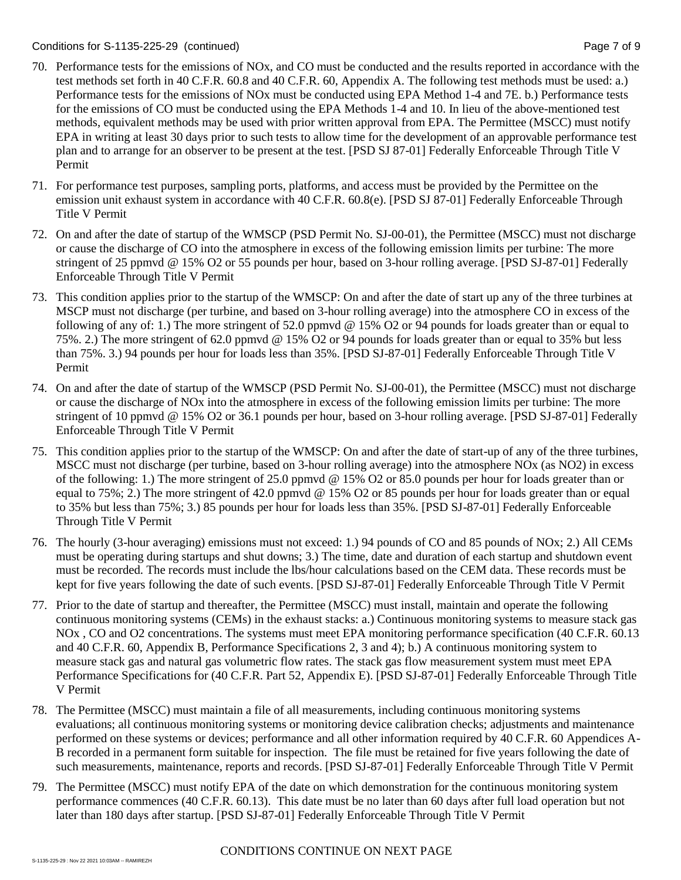### Conditions for S-1135-225-29 (continued) Page 7 of 9

- 70. Performance tests for the emissions of NOx, and CO must be conducted and the results reported in accordance with the test methods set forth in 40 C.F.R. 60.8 and 40 C.F.R. 60, Appendix A. The following test methods must be used: a.) Performance tests for the emissions of NOx must be conducted using EPA Method 1-4 and 7E. b.) Performance tests for the emissions of CO must be conducted using the EPA Methods 1-4 and 10. In lieu of the above-mentioned test methods, equivalent methods may be used with prior written approval from EPA. The Permittee (MSCC) must notify EPA in writing at least 30 days prior to such tests to allow time for the development of an approvable performance test plan and to arrange for an observer to be present at the test. [PSD SJ 87-01] Federally Enforceable Through Title V Permit
- 71. For performance test purposes, sampling ports, platforms, and access must be provided by the Permittee on the emission unit exhaust system in accordance with 40 C.F.R. 60.8(e). [PSD SJ 87-01] Federally Enforceable Through Title V Permit
- 72. On and after the date of startup of the WMSCP (PSD Permit No. SJ-00-01), the Permittee (MSCC) must not discharge or cause the discharge of CO into the atmosphere in excess of the following emission limits per turbine: The more stringent of 25 ppmvd @ 15% O2 or 55 pounds per hour, based on 3-hour rolling average. [PSD SJ-87-01] Federally Enforceable Through Title V Permit
- 73. This condition applies prior to the startup of the WMSCP: On and after the date of start up any of the three turbines at MSCP must not discharge (per turbine, and based on 3-hour rolling average) into the atmosphere CO in excess of the following of any of: 1.) The more stringent of 52.0 ppmvd @ 15% O2 or 94 pounds for loads greater than or equal to 75%. 2.) The more stringent of 62.0 ppmvd @ 15% O2 or 94 pounds for loads greater than or equal to 35% but less than 75%. 3.) 94 pounds per hour for loads less than 35%. [PSD SJ-87-01] Federally Enforceable Through Title V Permit
- 74. On and after the date of startup of the WMSCP (PSD Permit No. SJ-00-01), the Permittee (MSCC) must not discharge or cause the discharge of NOx into the atmosphere in excess of the following emission limits per turbine: The more stringent of 10 ppmvd @ 15% O2 or 36.1 pounds per hour, based on 3-hour rolling average. [PSD SJ-87-01] Federally Enforceable Through Title V Permit
- 75. This condition applies prior to the startup of the WMSCP: On and after the date of start-up of any of the three turbines, MSCC must not discharge (per turbine, based on 3-hour rolling average) into the atmosphere NOx (as NO2) in excess of the following: 1.) The more stringent of 25.0 ppmvd @ 15% O2 or 85.0 pounds per hour for loads greater than or equal to 75%; 2.) The more stringent of 42.0 ppmvd @ 15% O2 or 85 pounds per hour for loads greater than or equal to 35% but less than 75%; 3.) 85 pounds per hour for loads less than 35%. [PSD SJ-87-01] Federally Enforceable Through Title V Permit
- 76. The hourly (3-hour averaging) emissions must not exceed: 1.) 94 pounds of CO and 85 pounds of NOx; 2.) All CEMs must be operating during startups and shut downs; 3.) The time, date and duration of each startup and shutdown event must be recorded. The records must include the lbs/hour calculations based on the CEM data. These records must be kept for five years following the date of such events. [PSD SJ-87-01] Federally Enforceable Through Title V Permit
- 77. Prior to the date of startup and thereafter, the Permittee (MSCC) must install, maintain and operate the following continuous monitoring systems (CEMs) in the exhaust stacks: a.) Continuous monitoring systems to measure stack gas NOx , CO and O2 concentrations. The systems must meet EPA monitoring performance specification (40 C.F.R. 60.13 and 40 C.F.R. 60, Appendix B, Performance Specifications 2, 3 and 4); b.) A continuous monitoring system to measure stack gas and natural gas volumetric flow rates. The stack gas flow measurement system must meet EPA Performance Specifications for (40 C.F.R. Part 52, Appendix E). [PSD SJ-87-01] Federally Enforceable Through Title V Permit
- 78. The Permittee (MSCC) must maintain a file of all measurements, including continuous monitoring systems evaluations; all continuous monitoring systems or monitoring device calibration checks; adjustments and maintenance performed on these systems or devices; performance and all other information required by 40 C.F.R. 60 Appendices A-B recorded in a permanent form suitable for inspection. The file must be retained for five years following the date of such measurements, maintenance, reports and records. [PSD SJ-87-01] Federally Enforceable Through Title V Permit
- 79. The Permittee (MSCC) must notify EPA of the date on which demonstration for the continuous monitoring system performance commences (40 C.F.R. 60.13). This date must be no later than 60 days after full load operation but not later than 180 days after startup. [PSD SJ-87-01] Federally Enforceable Through Title V Permit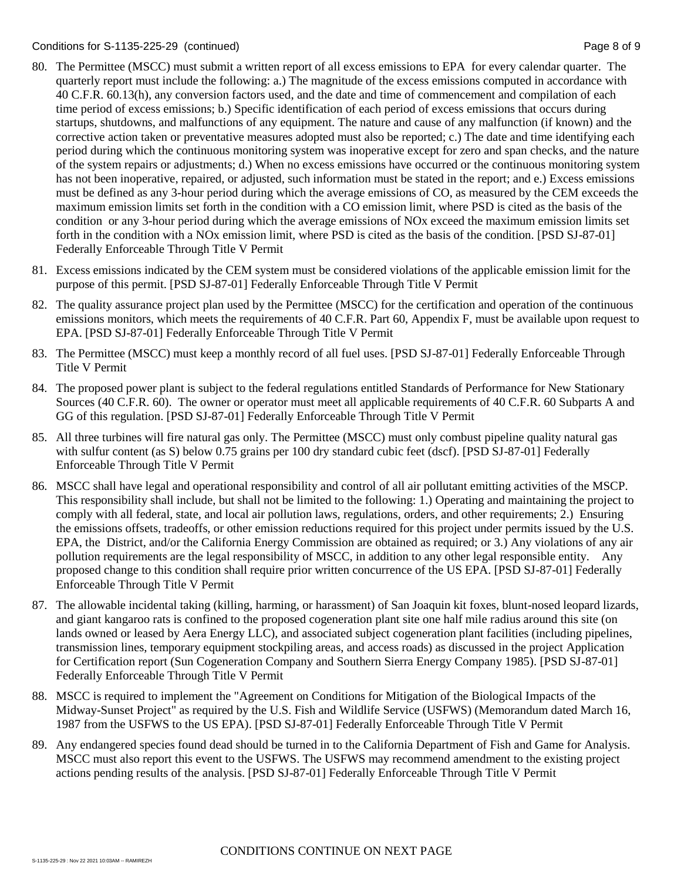### Conditions for S-1135-225-29 (continued) Page 8 of 9

- 80. The Permittee (MSCC) must submit a written report of all excess emissions to EPA for every calendar quarter. The quarterly report must include the following: a.) The magnitude of the excess emissions computed in accordance with 40 C.F.R. 60.13(h), any conversion factors used, and the date and time of commencement and compilation of each time period of excess emissions; b.) Specific identification of each period of excess emissions that occurs during startups, shutdowns, and malfunctions of any equipment. The nature and cause of any malfunction (if known) and the corrective action taken or preventative measures adopted must also be reported; c.) The date and time identifying each period during which the continuous monitoring system was inoperative except for zero and span checks, and the nature of the system repairs or adjustments; d.) When no excess emissions have occurred or the continuous monitoring system has not been inoperative, repaired, or adjusted, such information must be stated in the report; and e.) Excess emissions must be defined as any 3-hour period during which the average emissions of CO, as measured by the CEM exceeds the maximum emission limits set forth in the condition with a CO emission limit, where PSD is cited as the basis of the condition or any 3-hour period during which the average emissions of NOx exceed the maximum emission limits set forth in the condition with a NOx emission limit, where PSD is cited as the basis of the condition. [PSD SJ-87-01] Federally Enforceable Through Title V Permit
- 81. Excess emissions indicated by the CEM system must be considered violations of the applicable emission limit for the purpose of this permit. [PSD SJ-87-01] Federally Enforceable Through Title V Permit
- 82. The quality assurance project plan used by the Permittee (MSCC) for the certification and operation of the continuous emissions monitors, which meets the requirements of 40 C.F.R. Part 60, Appendix F, must be available upon request to EPA. [PSD SJ-87-01] Federally Enforceable Through Title V Permit
- 83. The Permittee (MSCC) must keep a monthly record of all fuel uses. [PSD SJ-87-01] Federally Enforceable Through Title V Permit
- 84. The proposed power plant is subject to the federal regulations entitled Standards of Performance for New Stationary Sources (40 C.F.R. 60). The owner or operator must meet all applicable requirements of 40 C.F.R. 60 Subparts A and GG of this regulation. [PSD SJ-87-01] Federally Enforceable Through Title V Permit
- 85. All three turbines will fire natural gas only. The Permittee (MSCC) must only combust pipeline quality natural gas with sulfur content (as S) below 0.75 grains per 100 dry standard cubic feet (dscf). [PSD SJ-87-01] Federally Enforceable Through Title V Permit
- 86. MSCC shall have legal and operational responsibility and control of all air pollutant emitting activities of the MSCP. This responsibility shall include, but shall not be limited to the following: 1.) Operating and maintaining the project to comply with all federal, state, and local air pollution laws, regulations, orders, and other requirements; 2.) Ensuring the emissions offsets, tradeoffs, or other emission reductions required for this project under permits issued by the U.S. EPA, the District, and/or the California Energy Commission are obtained as required; or 3.) Any violations of any air pollution requirements are the legal responsibility of MSCC, in addition to any other legal responsible entity. Any proposed change to this condition shall require prior written concurrence of the US EPA. [PSD SJ-87-01] Federally Enforceable Through Title V Permit
- 87. The allowable incidental taking (killing, harming, or harassment) of San Joaquin kit foxes, blunt-nosed leopard lizards, and giant kangaroo rats is confined to the proposed cogeneration plant site one half mile radius around this site (on lands owned or leased by Aera Energy LLC), and associated subject cogeneration plant facilities (including pipelines, transmission lines, temporary equipment stockpiling areas, and access roads) as discussed in the project Application for Certification report (Sun Cogeneration Company and Southern Sierra Energy Company 1985). [PSD SJ-87-01] Federally Enforceable Through Title V Permit
- 88. MSCC is required to implement the "Agreement on Conditions for Mitigation of the Biological Impacts of the Midway-Sunset Project" as required by the U.S. Fish and Wildlife Service (USFWS) (Memorandum dated March 16, 1987 from the USFWS to the US EPA). [PSD SJ-87-01] Federally Enforceable Through Title V Permit
- 89. Any endangered species found dead should be turned in to the California Department of Fish and Game for Analysis. MSCC must also report this event to the USFWS. The USFWS may recommend amendment to the existing project actions pending results of the analysis. [PSD SJ-87-01] Federally Enforceable Through Title V Permit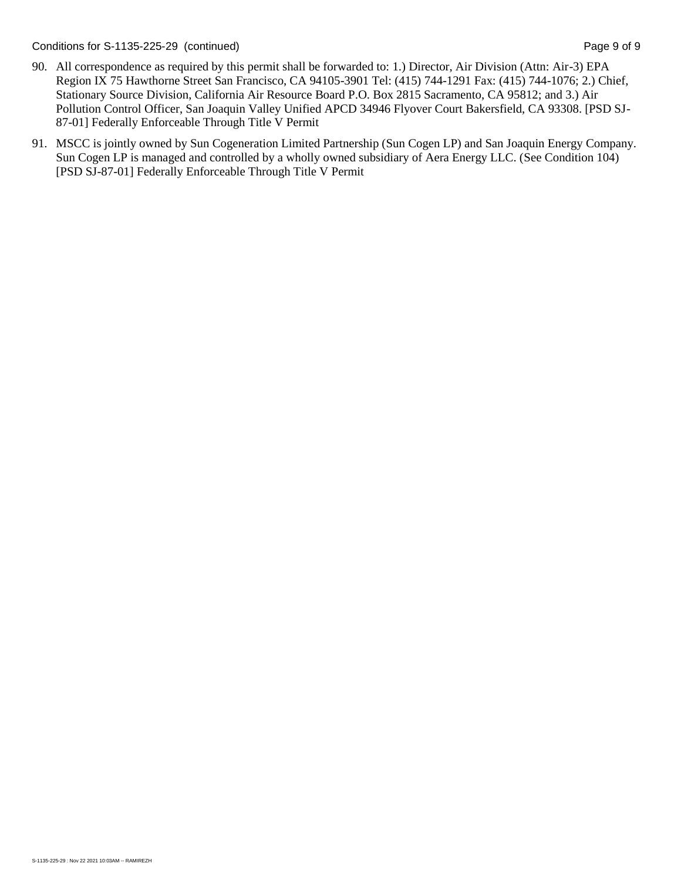Conditions for S-1135-225-29 (continued) Page 9 of 9

- 90. All correspondence as required by this permit shall be forwarded to: 1.) Director, Air Division (Attn: Air-3) EPA Region IX 75 Hawthorne Street San Francisco, CA 94105-3901 Tel: (415) 744-1291 Fax: (415) 744-1076; 2.) Chief, Stationary Source Division, California Air Resource Board P.O. Box 2815 Sacramento, CA 95812; and 3.) Air Pollution Control Officer, San Joaquin Valley Unified APCD 34946 Flyover Court Bakersfield, CA 93308. [PSD SJ-87-01] Federally Enforceable Through Title V Permit
- 91. MSCC is jointly owned by Sun Cogeneration Limited Partnership (Sun Cogen LP) and San Joaquin Energy Company. Sun Cogen LP is managed and controlled by a wholly owned subsidiary of Aera Energy LLC. (See Condition 104) [PSD SJ-87-01] Federally Enforceable Through Title V Permit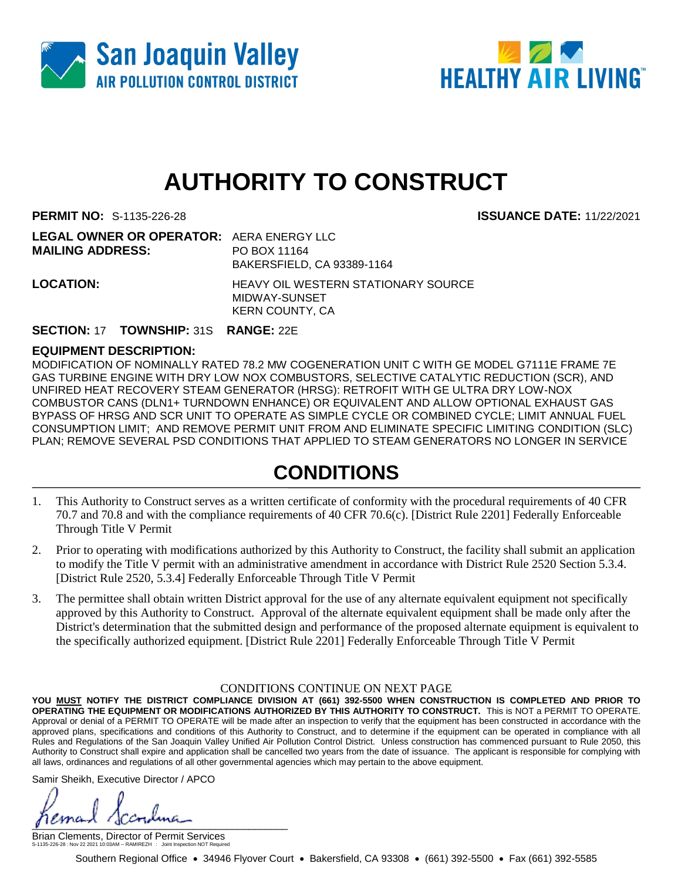



# **AUTHORITY TO CONSTRUCT**

**PERMIT NO:** S-1135-226-28 **ISSUANCE DATE:** 11/22/2021

| <b>LEGAL OWNER OR OPERATOR: AERA ENERGY LLC</b> |                                                      |
|-------------------------------------------------|------------------------------------------------------|
| <b>MAILING ADDRESS:</b>                         | PO BOX 11164                                         |
|                                                 | BAKERSFIELD, CA 93389-1164                           |
| <b>LOCATION:</b>                                | HEAVY OIL WESTERN STATIONARY SOURCE<br>MIDWAY-SUNSET |
|                                                 | KERN COUNTY, CA                                      |

### **SECTION:** 17 **TOWNSHIP:** 31S **RANGE:** 22E

### **EQUIPMENT DESCRIPTION:**

MODIFICATION OF NOMINALLY RATED 78.2 MW COGENERATION UNIT C WITH GE MODEL G7111E FRAME 7E GAS TURBINE ENGINE WITH DRY LOW NOX COMBUSTORS, SELECTIVE CATALYTIC REDUCTION (SCR), AND UNFIRED HEAT RECOVERY STEAM GENERATOR (HRSG): RETROFIT WITH GE ULTRA DRY LOW-NOX COMBUSTOR CANS (DLN1+ TURNDOWN ENHANCE) OR EQUIVALENT AND ALLOW OPTIONAL EXHAUST GAS BYPASS OF HRSG AND SCR UNIT TO OPERATE AS SIMPLE CYCLE OR COMBINED CYCLE; LIMIT ANNUAL FUEL CONSUMPTION LIMIT; AND REMOVE PERMIT UNIT FROM AND ELIMINATE SPECIFIC LIMITING CONDITION (SLC) PLAN; REMOVE SEVERAL PSD CONDITIONS THAT APPLIED TO STEAM GENERATORS NO LONGER IN SERVICE

## **CONDITIONS**

- 1. This Authority to Construct serves as a written certificate of conformity with the procedural requirements of 40 CFR 70.7 and 70.8 and with the compliance requirements of 40 CFR 70.6(c). [District Rule 2201] Federally Enforceable Through Title V Permit
- 2. Prior to operating with modifications authorized by this Authority to Construct, the facility shall submit an application to modify the Title V permit with an administrative amendment in accordance with District Rule 2520 Section 5.3.4. [District Rule 2520, 5.3.4] Federally Enforceable Through Title V Permit
- 3. The permittee shall obtain written District approval for the use of any alternate equivalent equipment not specifically approved by this Authority to Construct. Approval of the alternate equivalent equipment shall be made only after the District's determination that the submitted design and performance of the proposed alternate equipment is equivalent to the specifically authorized equipment. [District Rule 2201] Federally Enforceable Through Title V Permit

### CONDITIONS CONTINUE ON NEXT PAGE

**YOU MUST NOTIFY THE DISTRICT COMPLIANCE DIVISION AT (661) 392-5500 WHEN CONSTRUCTION IS COMPLETED AND PRIOR TO OPERATING THE EQUIPMENT OR MODIFICATIONS AUTHORIZED BY THIS AUTHORITY TO CONSTRUCT.** This is NOT a PERMIT TO OPERATE. Approval or denial of a PERMIT TO OPERATE will be made after an inspection to verify that the equipment has been constructed in accordance with the approved plans, specifications and conditions of this Authority to Construct, and to determine if the equipment can be operated in compliance with all Rules and Regulations of the San Joaquin Valley Unified Air Pollution Control District. Unless construction has commenced pursuant to Rule 2050, this Authority to Construct shall expire and application shall be cancelled two years from the date of issuance. The applicant is responsible for complying with all laws, ordinances and regulations of all other governmental agencies which may pertain to the above equipment.

Samir Sheikh, Executive Director / APCO

 $\int$ 

Brian Clements, Director of Permit Services S-1135-226-28 : Nov 22 2021 10:03AM -- RAMIREZH : Joint Inspection NOT Required

Southern Regional Office • 34946 Flyover Court • Bakersfield, CA 93308 • (661) 392-5500 • Fax (661) 392-5585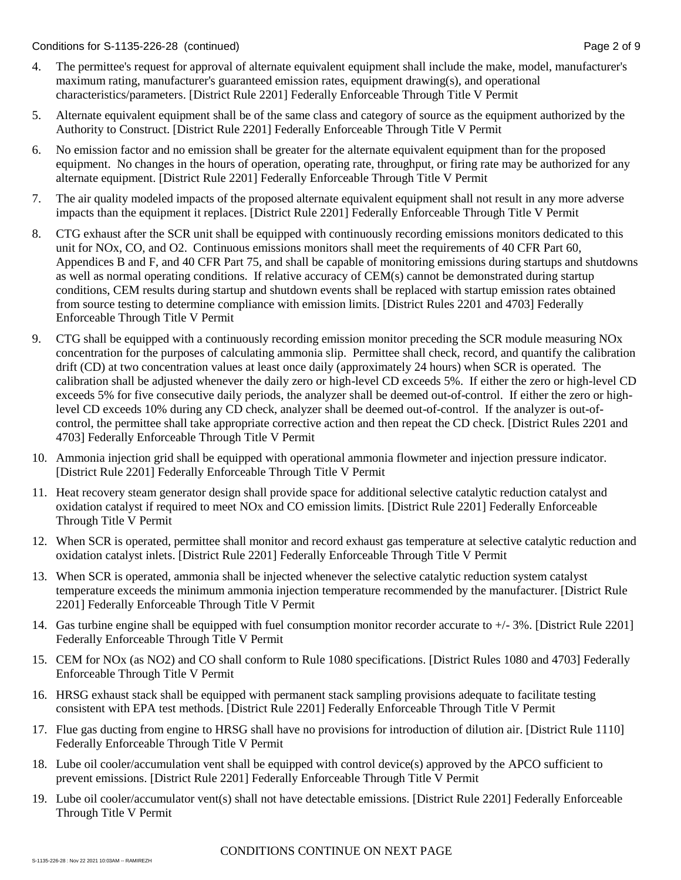Conditions for S-1135-226-28 (continued) Page 2 of 9

- 4. The permittee's request for approval of alternate equivalent equipment shall include the make, model, manufacturer's maximum rating, manufacturer's guaranteed emission rates, equipment drawing(s), and operational characteristics/parameters. [District Rule 2201] Federally Enforceable Through Title V Permit
- 5. Alternate equivalent equipment shall be of the same class and category of source as the equipment authorized by the Authority to Construct. [District Rule 2201] Federally Enforceable Through Title V Permit
- 6. No emission factor and no emission shall be greater for the alternate equivalent equipment than for the proposed equipment. No changes in the hours of operation, operating rate, throughput, or firing rate may be authorized for any alternate equipment. [District Rule 2201] Federally Enforceable Through Title V Permit
- 7. The air quality modeled impacts of the proposed alternate equivalent equipment shall not result in any more adverse impacts than the equipment it replaces. [District Rule 2201] Federally Enforceable Through Title V Permit
- 8. CTG exhaust after the SCR unit shall be equipped with continuously recording emissions monitors dedicated to this unit for NOx, CO, and O2. Continuous emissions monitors shall meet the requirements of 40 CFR Part 60, Appendices B and F, and 40 CFR Part 75, and shall be capable of monitoring emissions during startups and shutdowns as well as normal operating conditions. If relative accuracy of CEM(s) cannot be demonstrated during startup conditions, CEM results during startup and shutdown events shall be replaced with startup emission rates obtained from source testing to determine compliance with emission limits. [District Rules 2201 and 4703] Federally Enforceable Through Title V Permit
- 9. CTG shall be equipped with a continuously recording emission monitor preceding the SCR module measuring NOx concentration for the purposes of calculating ammonia slip. Permittee shall check, record, and quantify the calibration drift (CD) at two concentration values at least once daily (approximately 24 hours) when SCR is operated. The calibration shall be adjusted whenever the daily zero or high-level CD exceeds 5%. If either the zero or high-level CD exceeds 5% for five consecutive daily periods, the analyzer shall be deemed out-of-control. If either the zero or highlevel CD exceeds 10% during any CD check, analyzer shall be deemed out-of-control. If the analyzer is out-ofcontrol, the permittee shall take appropriate corrective action and then repeat the CD check. [District Rules 2201 and 4703] Federally Enforceable Through Title V Permit
- 10. Ammonia injection grid shall be equipped with operational ammonia flowmeter and injection pressure indicator. [District Rule 2201] Federally Enforceable Through Title V Permit
- 11. Heat recovery steam generator design shall provide space for additional selective catalytic reduction catalyst and oxidation catalyst if required to meet NOx and CO emission limits. [District Rule 2201] Federally Enforceable Through Title V Permit
- 12. When SCR is operated, permittee shall monitor and record exhaust gas temperature at selective catalytic reduction and oxidation catalyst inlets. [District Rule 2201] Federally Enforceable Through Title V Permit
- 13. When SCR is operated, ammonia shall be injected whenever the selective catalytic reduction system catalyst temperature exceeds the minimum ammonia injection temperature recommended by the manufacturer. [District Rule 2201] Federally Enforceable Through Title V Permit
- 14. Gas turbine engine shall be equipped with fuel consumption monitor recorder accurate to +/- 3%. [District Rule 2201] Federally Enforceable Through Title V Permit
- 15. CEM for NOx (as NO2) and CO shall conform to Rule 1080 specifications. [District Rules 1080 and 4703] Federally Enforceable Through Title V Permit
- 16. HRSG exhaust stack shall be equipped with permanent stack sampling provisions adequate to facilitate testing consistent with EPA test methods. [District Rule 2201] Federally Enforceable Through Title V Permit
- 17. Flue gas ducting from engine to HRSG shall have no provisions for introduction of dilution air. [District Rule 1110] Federally Enforceable Through Title V Permit
- 18. Lube oil cooler/accumulation vent shall be equipped with control device(s) approved by the APCO sufficient to prevent emissions. [District Rule 2201] Federally Enforceable Through Title V Permit
- 19. Lube oil cooler/accumulator vent(s) shall not have detectable emissions. [District Rule 2201] Federally Enforceable Through Title V Permit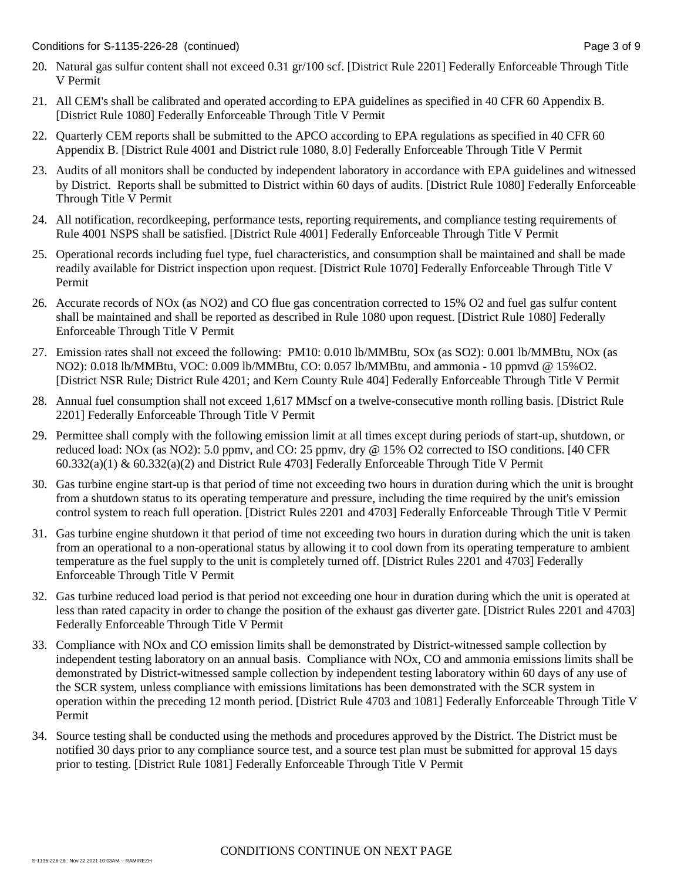- 20. Natural gas sulfur content shall not exceed 0.31 gr/100 scf. [District Rule 2201] Federally Enforceable Through Title V Permit
- 21. All CEM's shall be calibrated and operated according to EPA guidelines as specified in 40 CFR 60 Appendix B. [District Rule 1080] Federally Enforceable Through Title V Permit
- 22. Quarterly CEM reports shall be submitted to the APCO according to EPA regulations as specified in 40 CFR 60 Appendix B. [District Rule 4001 and District rule 1080, 8.0] Federally Enforceable Through Title V Permit
- 23. Audits of all monitors shall be conducted by independent laboratory in accordance with EPA guidelines and witnessed by District. Reports shall be submitted to District within 60 days of audits. [District Rule 1080] Federally Enforceable Through Title V Permit
- 24. All notification, recordkeeping, performance tests, reporting requirements, and compliance testing requirements of Rule 4001 NSPS shall be satisfied. [District Rule 4001] Federally Enforceable Through Title V Permit
- 25. Operational records including fuel type, fuel characteristics, and consumption shall be maintained and shall be made readily available for District inspection upon request. [District Rule 1070] Federally Enforceable Through Title V Permit
- 26. Accurate records of NOx (as NO2) and CO flue gas concentration corrected to 15% O2 and fuel gas sulfur content shall be maintained and shall be reported as described in Rule 1080 upon request. [District Rule 1080] Federally Enforceable Through Title V Permit
- 27. Emission rates shall not exceed the following: PM10: 0.010 lb/MMBtu, SOx (as SO2): 0.001 lb/MMBtu, NOx (as NO2): 0.018 lb/MMBtu, VOC: 0.009 lb/MMBtu, CO: 0.057 lb/MMBtu, and ammonia - 10 ppmvd @ 15%O2. [District NSR Rule; District Rule 4201; and Kern County Rule 404] Federally Enforceable Through Title V Permit
- 28. Annual fuel consumption shall not exceed 1,617 MMscf on a twelve-consecutive month rolling basis. [District Rule 2201] Federally Enforceable Through Title V Permit
- 29. Permittee shall comply with the following emission limit at all times except during periods of start-up, shutdown, or reduced load: NOx (as NO2): 5.0 ppmv, and CO: 25 ppmv, dry @ 15% O2 corrected to ISO conditions. [40 CFR 60.332(a)(1) & 60.332(a)(2) and District Rule 4703] Federally Enforceable Through Title V Permit
- 30. Gas turbine engine start-up is that period of time not exceeding two hours in duration during which the unit is brought from a shutdown status to its operating temperature and pressure, including the time required by the unit's emission control system to reach full operation. [District Rules 2201 and 4703] Federally Enforceable Through Title V Permit
- 31. Gas turbine engine shutdown it that period of time not exceeding two hours in duration during which the unit is taken from an operational to a non-operational status by allowing it to cool down from its operating temperature to ambient temperature as the fuel supply to the unit is completely turned off. [District Rules 2201 and 4703] Federally Enforceable Through Title V Permit
- 32. Gas turbine reduced load period is that period not exceeding one hour in duration during which the unit is operated at less than rated capacity in order to change the position of the exhaust gas diverter gate. [District Rules 2201 and 4703] Federally Enforceable Through Title V Permit
- 33. Compliance with NOx and CO emission limits shall be demonstrated by District-witnessed sample collection by independent testing laboratory on an annual basis. Compliance with NOx, CO and ammonia emissions limits shall be demonstrated by District-witnessed sample collection by independent testing laboratory within 60 days of any use of the SCR system, unless compliance with emissions limitations has been demonstrated with the SCR system in operation within the preceding 12 month period. [District Rule 4703 and 1081] Federally Enforceable Through Title V Permit
- 34. Source testing shall be conducted using the methods and procedures approved by the District. The District must be notified 30 days prior to any compliance source test, and a source test plan must be submitted for approval 15 days prior to testing. [District Rule 1081] Federally Enforceable Through Title V Permit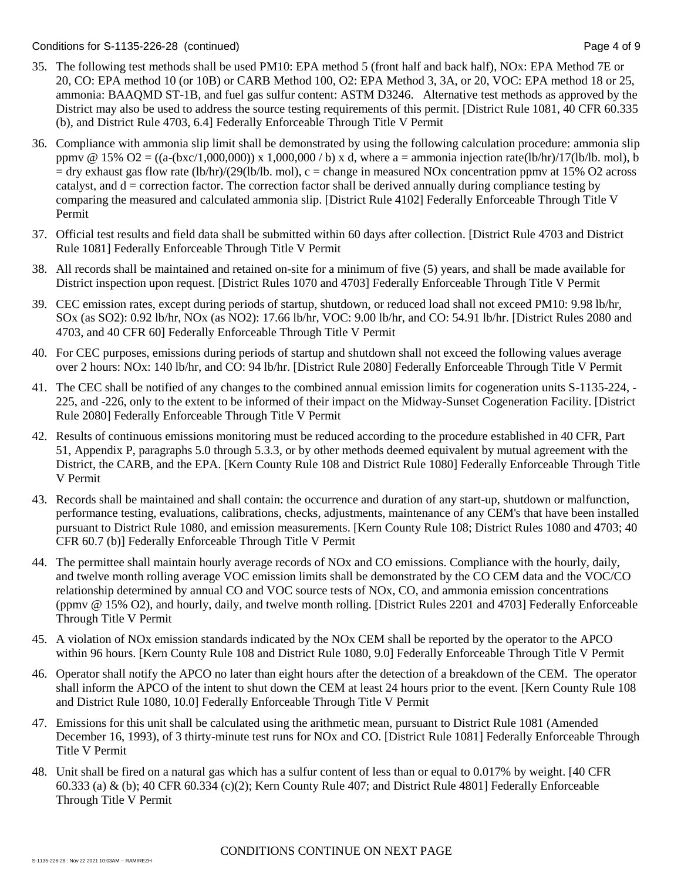### Conditions for S-1135-226-28 (continued) Page 4 of 9

- 35. The following test methods shall be used PM10: EPA method 5 (front half and back half), NOx: EPA Method 7E or 20, CO: EPA method 10 (or 10B) or CARB Method 100, O2: EPA Method 3, 3A, or 20, VOC: EPA method 18 or 25, ammonia: BAAQMD ST-1B, and fuel gas sulfur content: ASTM D3246. Alternative test methods as approved by the District may also be used to address the source testing requirements of this permit. [District Rule 1081, 40 CFR 60.335 (b), and District Rule 4703, 6.4] Federally Enforceable Through Title V Permit
- 36. Compliance with ammonia slip limit shall be demonstrated by using the following calculation procedure: ammonia slip ppmv @ 15% O2 =  $((a-(bxc/1,000,000)) \times 1,000,000 / b) \times d$ , where a = ammonia injection rate(lb/hr)/17(lb/lb. mol), b  $=$  dry exhaust gas flow rate (lb/hr)/(29(lb/lb. mol), c = change in measured NOx concentration ppmv at 15% O2 across catalyst, and  $d =$  correction factor. The correction factor shall be derived annually during compliance testing by comparing the measured and calculated ammonia slip. [District Rule 4102] Federally Enforceable Through Title V Permit
- 37. Official test results and field data shall be submitted within 60 days after collection. [District Rule 4703 and District Rule 1081] Federally Enforceable Through Title V Permit
- 38. All records shall be maintained and retained on-site for a minimum of five (5) years, and shall be made available for District inspection upon request. [District Rules 1070 and 4703] Federally Enforceable Through Title V Permit
- 39. CEC emission rates, except during periods of startup, shutdown, or reduced load shall not exceed PM10: 9.98 lb/hr, SOx (as SO2): 0.92 lb/hr, NOx (as NO2): 17.66 lb/hr, VOC: 9.00 lb/hr, and CO: 54.91 lb/hr. [District Rules 2080 and 4703, and 40 CFR 60] Federally Enforceable Through Title V Permit
- 40. For CEC purposes, emissions during periods of startup and shutdown shall not exceed the following values average over 2 hours: NOx: 140 lb/hr, and CO: 94 lb/hr. [District Rule 2080] Federally Enforceable Through Title V Permit
- 41. The CEC shall be notified of any changes to the combined annual emission limits for cogeneration units S-1135-224, 225, and -226, only to the extent to be informed of their impact on the Midway-Sunset Cogeneration Facility. [District Rule 2080] Federally Enforceable Through Title V Permit
- 42. Results of continuous emissions monitoring must be reduced according to the procedure established in 40 CFR, Part 51, Appendix P, paragraphs 5.0 through 5.3.3, or by other methods deemed equivalent by mutual agreement with the District, the CARB, and the EPA. [Kern County Rule 108 and District Rule 1080] Federally Enforceable Through Title V Permit
- 43. Records shall be maintained and shall contain: the occurrence and duration of any start-up, shutdown or malfunction, performance testing, evaluations, calibrations, checks, adjustments, maintenance of any CEM's that have been installed pursuant to District Rule 1080, and emission measurements. [Kern County Rule 108; District Rules 1080 and 4703; 40 CFR 60.7 (b)] Federally Enforceable Through Title V Permit
- 44. The permittee shall maintain hourly average records of NOx and CO emissions. Compliance with the hourly, daily, and twelve month rolling average VOC emission limits shall be demonstrated by the CO CEM data and the VOC/CO relationship determined by annual CO and VOC source tests of NOx, CO, and ammonia emission concentrations (ppmv @ 15% O2), and hourly, daily, and twelve month rolling. [District Rules 2201 and 4703] Federally Enforceable Through Title V Permit
- 45. A violation of NOx emission standards indicated by the NOx CEM shall be reported by the operator to the APCO within 96 hours. [Kern County Rule 108 and District Rule 1080, 9.0] Federally Enforceable Through Title V Permit
- 46. Operator shall notify the APCO no later than eight hours after the detection of a breakdown of the CEM. The operator shall inform the APCO of the intent to shut down the CEM at least 24 hours prior to the event. [Kern County Rule 108 and District Rule 1080, 10.0] Federally Enforceable Through Title V Permit
- 47. Emissions for this unit shall be calculated using the arithmetic mean, pursuant to District Rule 1081 (Amended December 16, 1993), of 3 thirty-minute test runs for NOx and CO. [District Rule 1081] Federally Enforceable Through Title V Permit
- 48. Unit shall be fired on a natural gas which has a sulfur content of less than or equal to 0.017% by weight. [40 CFR 60.333 (a) & (b); 40 CFR 60.334 (c)(2); Kern County Rule 407; and District Rule 4801] Federally Enforceable Through Title V Permit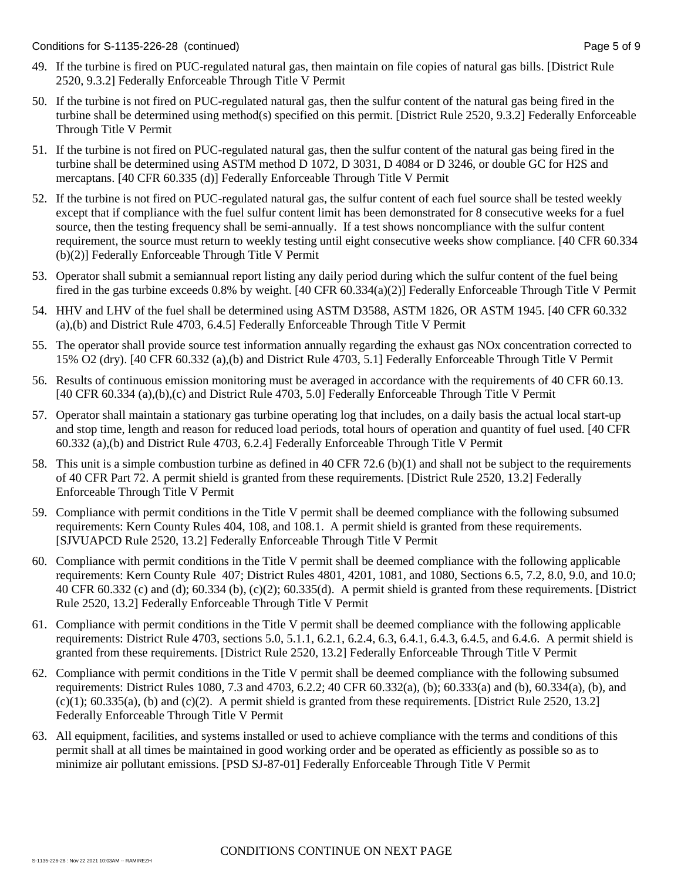- 49. If the turbine is fired on PUC-regulated natural gas, then maintain on file copies of natural gas bills. [District Rule 2520, 9.3.2] Federally Enforceable Through Title V Permit
- 50. If the turbine is not fired on PUC-regulated natural gas, then the sulfur content of the natural gas being fired in the turbine shall be determined using method(s) specified on this permit. [District Rule 2520, 9.3.2] Federally Enforceable Through Title V Permit
- 51. If the turbine is not fired on PUC-regulated natural gas, then the sulfur content of the natural gas being fired in the turbine shall be determined using ASTM method D 1072, D 3031, D 4084 or D 3246, or double GC for H2S and mercaptans. [40 CFR 60.335 (d)] Federally Enforceable Through Title V Permit
- 52. If the turbine is not fired on PUC-regulated natural gas, the sulfur content of each fuel source shall be tested weekly except that if compliance with the fuel sulfur content limit has been demonstrated for 8 consecutive weeks for a fuel source, then the testing frequency shall be semi-annually. If a test shows noncompliance with the sulfur content requirement, the source must return to weekly testing until eight consecutive weeks show compliance. [40 CFR 60.334 (b)(2)] Federally Enforceable Through Title V Permit
- 53. Operator shall submit a semiannual report listing any daily period during which the sulfur content of the fuel being fired in the gas turbine exceeds 0.8% by weight. [40 CFR 60.334(a)(2)] Federally Enforceable Through Title V Permit
- 54. HHV and LHV of the fuel shall be determined using ASTM D3588, ASTM 1826, OR ASTM 1945. [40 CFR 60.332 (a),(b) and District Rule 4703, 6.4.5] Federally Enforceable Through Title V Permit
- 55. The operator shall provide source test information annually regarding the exhaust gas NOx concentration corrected to 15% O2 (dry). [40 CFR 60.332 (a),(b) and District Rule 4703, 5.1] Federally Enforceable Through Title V Permit
- 56. Results of continuous emission monitoring must be averaged in accordance with the requirements of 40 CFR 60.13. [40 CFR 60.334 (a),(b),(c) and District Rule 4703, 5.0] Federally Enforceable Through Title V Permit
- 57. Operator shall maintain a stationary gas turbine operating log that includes, on a daily basis the actual local start-up and stop time, length and reason for reduced load periods, total hours of operation and quantity of fuel used. [40 CFR 60.332 (a),(b) and District Rule 4703, 6.2.4] Federally Enforceable Through Title V Permit
- 58. This unit is a simple combustion turbine as defined in 40 CFR 72.6 (b)(1) and shall not be subject to the requirements of 40 CFR Part 72. A permit shield is granted from these requirements. [District Rule 2520, 13.2] Federally Enforceable Through Title V Permit
- 59. Compliance with permit conditions in the Title V permit shall be deemed compliance with the following subsumed requirements: Kern County Rules 404, 108, and 108.1. A permit shield is granted from these requirements. [SJVUAPCD Rule 2520, 13.2] Federally Enforceable Through Title V Permit
- 60. Compliance with permit conditions in the Title V permit shall be deemed compliance with the following applicable requirements: Kern County Rule 407; District Rules 4801, 4201, 1081, and 1080, Sections 6.5, 7.2, 8.0, 9.0, and 10.0; 40 CFR 60.332 (c) and (d); 60.334 (b), (c)(2); 60.335(d). A permit shield is granted from these requirements. [District Rule 2520, 13.2] Federally Enforceable Through Title V Permit
- 61. Compliance with permit conditions in the Title V permit shall be deemed compliance with the following applicable requirements: District Rule 4703, sections 5.0, 5.1.1, 6.2.1, 6.2.4, 6.3, 6.4.1, 6.4.3, 6.4.5, and 6.4.6. A permit shield is granted from these requirements. [District Rule 2520, 13.2] Federally Enforceable Through Title V Permit
- 62. Compliance with permit conditions in the Title V permit shall be deemed compliance with the following subsumed requirements: District Rules 1080, 7.3 and 4703, 6.2.2; 40 CFR 60.332(a), (b); 60.333(a) and (b), 60.334(a), (b), and  $(c)(1)$ ; 60.335(a), (b) and  $(c)(2)$ . A permit shield is granted from these requirements. [District Rule 2520, 13.2] Federally Enforceable Through Title V Permit
- 63. All equipment, facilities, and systems installed or used to achieve compliance with the terms and conditions of this permit shall at all times be maintained in good working order and be operated as efficiently as possible so as to minimize air pollutant emissions. [PSD SJ-87-01] Federally Enforceable Through Title V Permit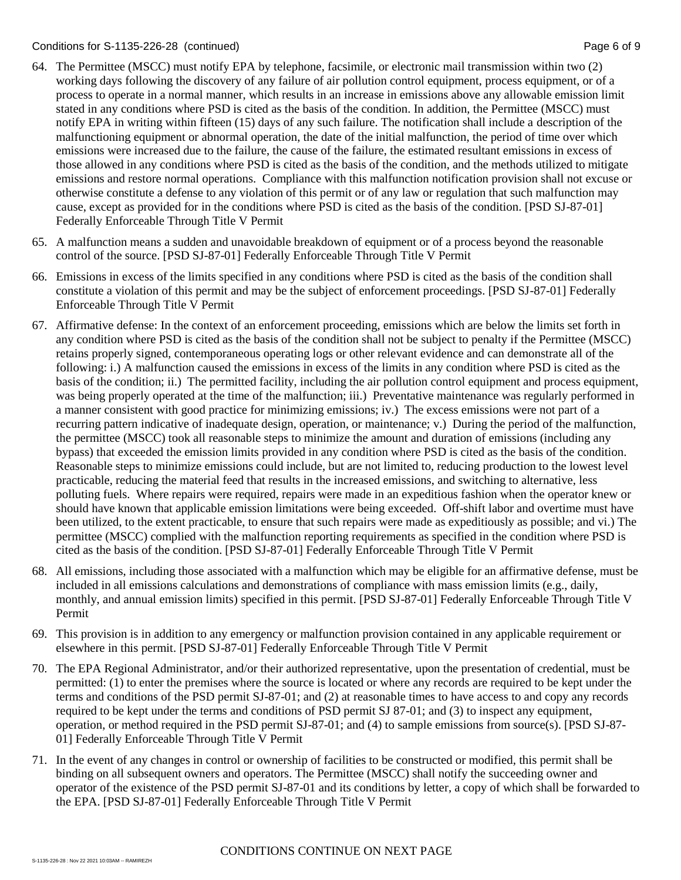### Conditions for S-1135-226-28 (continued) Page 6 of 9

- 64. The Permittee (MSCC) must notify EPA by telephone, facsimile, or electronic mail transmission within two (2) working days following the discovery of any failure of air pollution control equipment, process equipment, or of a process to operate in a normal manner, which results in an increase in emissions above any allowable emission limit stated in any conditions where PSD is cited as the basis of the condition. In addition, the Permittee (MSCC) must notify EPA in writing within fifteen (15) days of any such failure. The notification shall include a description of the malfunctioning equipment or abnormal operation, the date of the initial malfunction, the period of time over which emissions were increased due to the failure, the cause of the failure, the estimated resultant emissions in excess of those allowed in any conditions where PSD is cited as the basis of the condition, and the methods utilized to mitigate emissions and restore normal operations. Compliance with this malfunction notification provision shall not excuse or otherwise constitute a defense to any violation of this permit or of any law or regulation that such malfunction may cause, except as provided for in the conditions where PSD is cited as the basis of the condition. [PSD SJ-87-01] Federally Enforceable Through Title V Permit
- 65. A malfunction means a sudden and unavoidable breakdown of equipment or of a process beyond the reasonable control of the source. [PSD SJ-87-01] Federally Enforceable Through Title V Permit
- 66. Emissions in excess of the limits specified in any conditions where PSD is cited as the basis of the condition shall constitute a violation of this permit and may be the subject of enforcement proceedings. [PSD SJ-87-01] Federally Enforceable Through Title V Permit
- 67. Affirmative defense: In the context of an enforcement proceeding, emissions which are below the limits set forth in any condition where PSD is cited as the basis of the condition shall not be subject to penalty if the Permittee (MSCC) retains properly signed, contemporaneous operating logs or other relevant evidence and can demonstrate all of the following: i.) A malfunction caused the emissions in excess of the limits in any condition where PSD is cited as the basis of the condition; ii.) The permitted facility, including the air pollution control equipment and process equipment, was being properly operated at the time of the malfunction; iii.) Preventative maintenance was regularly performed in a manner consistent with good practice for minimizing emissions; iv.) The excess emissions were not part of a recurring pattern indicative of inadequate design, operation, or maintenance; v.) During the period of the malfunction, the permittee (MSCC) took all reasonable steps to minimize the amount and duration of emissions (including any bypass) that exceeded the emission limits provided in any condition where PSD is cited as the basis of the condition. Reasonable steps to minimize emissions could include, but are not limited to, reducing production to the lowest level practicable, reducing the material feed that results in the increased emissions, and switching to alternative, less polluting fuels. Where repairs were required, repairs were made in an expeditious fashion when the operator knew or should have known that applicable emission limitations were being exceeded. Off-shift labor and overtime must have been utilized, to the extent practicable, to ensure that such repairs were made as expeditiously as possible; and vi.) The permittee (MSCC) complied with the malfunction reporting requirements as specified in the condition where PSD is cited as the basis of the condition. [PSD SJ-87-01] Federally Enforceable Through Title V Permit
- 68. All emissions, including those associated with a malfunction which may be eligible for an affirmative defense, must be included in all emissions calculations and demonstrations of compliance with mass emission limits (e.g., daily, monthly, and annual emission limits) specified in this permit. [PSD SJ-87-01] Federally Enforceable Through Title V Permit
- 69. This provision is in addition to any emergency or malfunction provision contained in any applicable requirement or elsewhere in this permit. [PSD SJ-87-01] Federally Enforceable Through Title V Permit
- 70. The EPA Regional Administrator, and/or their authorized representative, upon the presentation of credential, must be permitted: (1) to enter the premises where the source is located or where any records are required to be kept under the terms and conditions of the PSD permit SJ-87-01; and (2) at reasonable times to have access to and copy any records required to be kept under the terms and conditions of PSD permit SJ 87-01; and (3) to inspect any equipment, operation, or method required in the PSD permit SJ-87-01; and (4) to sample emissions from source(s). [PSD SJ-87- 01] Federally Enforceable Through Title V Permit
- 71. In the event of any changes in control or ownership of facilities to be constructed or modified, this permit shall be binding on all subsequent owners and operators. The Permittee (MSCC) shall notify the succeeding owner and operator of the existence of the PSD permit SJ-87-01 and its conditions by letter, a copy of which shall be forwarded to the EPA. [PSD SJ-87-01] Federally Enforceable Through Title V Permit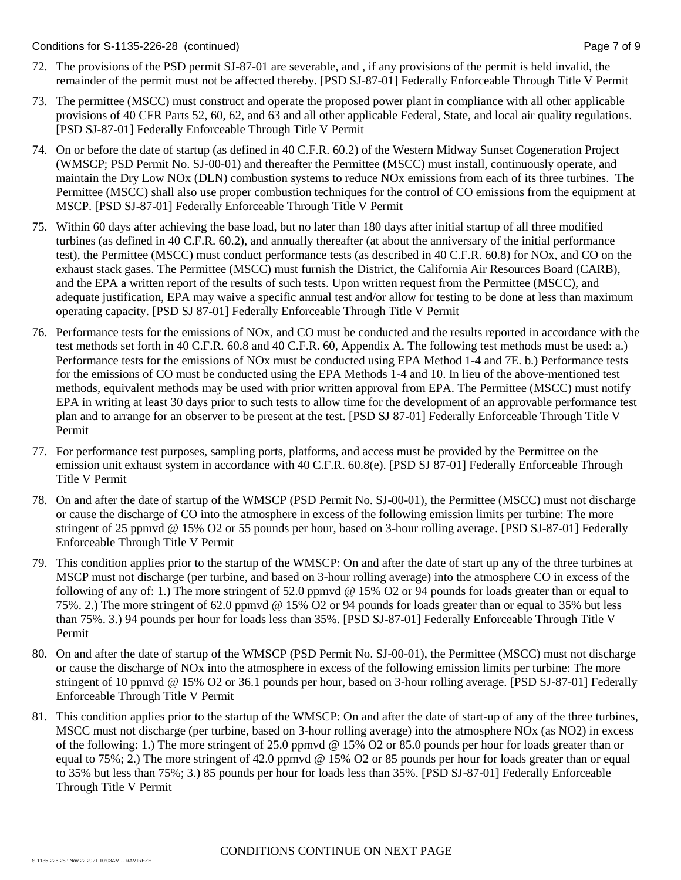- 72. The provisions of the PSD permit SJ-87-01 are severable, and , if any provisions of the permit is held invalid, the remainder of the permit must not be affected thereby. [PSD SJ-87-01] Federally Enforceable Through Title V Permit
- 73. The permittee (MSCC) must construct and operate the proposed power plant in compliance with all other applicable provisions of 40 CFR Parts 52, 60, 62, and 63 and all other applicable Federal, State, and local air quality regulations. [PSD SJ-87-01] Federally Enforceable Through Title V Permit
- 74. On or before the date of startup (as defined in 40 C.F.R. 60.2) of the Western Midway Sunset Cogeneration Project (WMSCP; PSD Permit No. SJ-00-01) and thereafter the Permittee (MSCC) must install, continuously operate, and maintain the Dry Low NOx (DLN) combustion systems to reduce NOx emissions from each of its three turbines. The Permittee (MSCC) shall also use proper combustion techniques for the control of CO emissions from the equipment at MSCP. [PSD SJ-87-01] Federally Enforceable Through Title V Permit
- 75. Within 60 days after achieving the base load, but no later than 180 days after initial startup of all three modified turbines (as defined in 40 C.F.R. 60.2), and annually thereafter (at about the anniversary of the initial performance test), the Permittee (MSCC) must conduct performance tests (as described in 40 C.F.R. 60.8) for NOx, and CO on the exhaust stack gases. The Permittee (MSCC) must furnish the District, the California Air Resources Board (CARB), and the EPA a written report of the results of such tests. Upon written request from the Permittee (MSCC), and adequate justification, EPA may waive a specific annual test and/or allow for testing to be done at less than maximum operating capacity. [PSD SJ 87-01] Federally Enforceable Through Title V Permit
- 76. Performance tests for the emissions of NOx, and CO must be conducted and the results reported in accordance with the test methods set forth in 40 C.F.R. 60.8 and 40 C.F.R. 60, Appendix A. The following test methods must be used: a.) Performance tests for the emissions of NOx must be conducted using EPA Method 1-4 and 7E. b.) Performance tests for the emissions of CO must be conducted using the EPA Methods 1-4 and 10. In lieu of the above-mentioned test methods, equivalent methods may be used with prior written approval from EPA. The Permittee (MSCC) must notify EPA in writing at least 30 days prior to such tests to allow time for the development of an approvable performance test plan and to arrange for an observer to be present at the test. [PSD SJ 87-01] Federally Enforceable Through Title V Permit
- 77. For performance test purposes, sampling ports, platforms, and access must be provided by the Permittee on the emission unit exhaust system in accordance with 40 C.F.R. 60.8(e). [PSD SJ 87-01] Federally Enforceable Through Title V Permit
- 78. On and after the date of startup of the WMSCP (PSD Permit No. SJ-00-01), the Permittee (MSCC) must not discharge or cause the discharge of CO into the atmosphere in excess of the following emission limits per turbine: The more stringent of 25 ppmvd @ 15% O2 or 55 pounds per hour, based on 3-hour rolling average. [PSD SJ-87-01] Federally Enforceable Through Title V Permit
- 79. This condition applies prior to the startup of the WMSCP: On and after the date of start up any of the three turbines at MSCP must not discharge (per turbine, and based on 3-hour rolling average) into the atmosphere CO in excess of the following of any of: 1.) The more stringent of 52.0 ppmvd @ 15% O2 or 94 pounds for loads greater than or equal to 75%. 2.) The more stringent of 62.0 ppmvd @ 15% O2 or 94 pounds for loads greater than or equal to 35% but less than 75%. 3.) 94 pounds per hour for loads less than 35%. [PSD SJ-87-01] Federally Enforceable Through Title V Permit
- 80. On and after the date of startup of the WMSCP (PSD Permit No. SJ-00-01), the Permittee (MSCC) must not discharge or cause the discharge of NOx into the atmosphere in excess of the following emission limits per turbine: The more stringent of 10 ppmvd @ 15% O2 or 36.1 pounds per hour, based on 3-hour rolling average. [PSD SJ-87-01] Federally Enforceable Through Title V Permit
- 81. This condition applies prior to the startup of the WMSCP: On and after the date of start-up of any of the three turbines, MSCC must not discharge (per turbine, based on 3-hour rolling average) into the atmosphere NOx (as NO2) in excess of the following: 1.) The more stringent of 25.0 ppmvd @ 15% O2 or 85.0 pounds per hour for loads greater than or equal to 75%; 2.) The more stringent of 42.0 ppmvd @ 15% O2 or 85 pounds per hour for loads greater than or equal to 35% but less than 75%; 3.) 85 pounds per hour for loads less than 35%. [PSD SJ-87-01] Federally Enforceable Through Title V Permit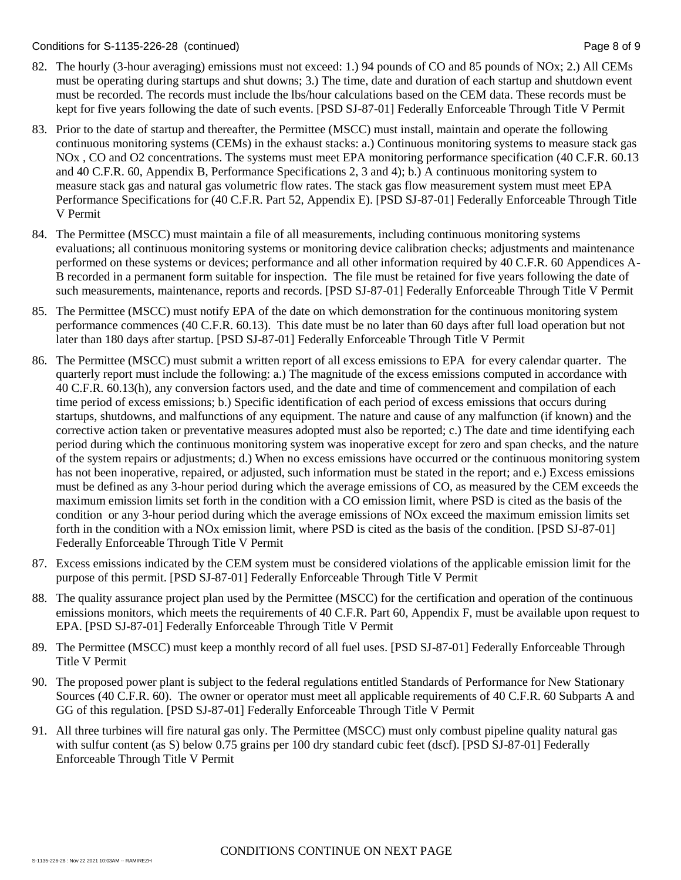Conditions for S-1135-226-28 (continued) Page 8 of 9

- 82. The hourly (3-hour averaging) emissions must not exceed: 1.) 94 pounds of CO and 85 pounds of NOx; 2.) All CEMs must be operating during startups and shut downs; 3.) The time, date and duration of each startup and shutdown event must be recorded. The records must include the lbs/hour calculations based on the CEM data. These records must be kept for five years following the date of such events. [PSD SJ-87-01] Federally Enforceable Through Title V Permit
- 83. Prior to the date of startup and thereafter, the Permittee (MSCC) must install, maintain and operate the following continuous monitoring systems (CEMs) in the exhaust stacks: a.) Continuous monitoring systems to measure stack gas NOx , CO and O2 concentrations. The systems must meet EPA monitoring performance specification (40 C.F.R. 60.13 and 40 C.F.R. 60, Appendix B, Performance Specifications 2, 3 and 4); b.) A continuous monitoring system to measure stack gas and natural gas volumetric flow rates. The stack gas flow measurement system must meet EPA Performance Specifications for (40 C.F.R. Part 52, Appendix E). [PSD SJ-87-01] Federally Enforceable Through Title V Permit
- 84. The Permittee (MSCC) must maintain a file of all measurements, including continuous monitoring systems evaluations; all continuous monitoring systems or monitoring device calibration checks; adjustments and maintenance performed on these systems or devices; performance and all other information required by 40 C.F.R. 60 Appendices A-B recorded in a permanent form suitable for inspection. The file must be retained for five years following the date of such measurements, maintenance, reports and records. [PSD SJ-87-01] Federally Enforceable Through Title V Permit
- 85. The Permittee (MSCC) must notify EPA of the date on which demonstration for the continuous monitoring system performance commences (40 C.F.R. 60.13). This date must be no later than 60 days after full load operation but not later than 180 days after startup. [PSD SJ-87-01] Federally Enforceable Through Title V Permit
- 86. The Permittee (MSCC) must submit a written report of all excess emissions to EPA for every calendar quarter. The quarterly report must include the following: a.) The magnitude of the excess emissions computed in accordance with 40 C.F.R. 60.13(h), any conversion factors used, and the date and time of commencement and compilation of each time period of excess emissions; b.) Specific identification of each period of excess emissions that occurs during startups, shutdowns, and malfunctions of any equipment. The nature and cause of any malfunction (if known) and the corrective action taken or preventative measures adopted must also be reported; c.) The date and time identifying each period during which the continuous monitoring system was inoperative except for zero and span checks, and the nature of the system repairs or adjustments; d.) When no excess emissions have occurred or the continuous monitoring system has not been inoperative, repaired, or adjusted, such information must be stated in the report; and e.) Excess emissions must be defined as any 3-hour period during which the average emissions of CO, as measured by the CEM exceeds the maximum emission limits set forth in the condition with a CO emission limit, where PSD is cited as the basis of the condition or any 3-hour period during which the average emissions of NOx exceed the maximum emission limits set forth in the condition with a NOx emission limit, where PSD is cited as the basis of the condition. [PSD SJ-87-01] Federally Enforceable Through Title V Permit
- 87. Excess emissions indicated by the CEM system must be considered violations of the applicable emission limit for the purpose of this permit. [PSD SJ-87-01] Federally Enforceable Through Title V Permit
- 88. The quality assurance project plan used by the Permittee (MSCC) for the certification and operation of the continuous emissions monitors, which meets the requirements of 40 C.F.R. Part 60, Appendix F, must be available upon request to EPA. [PSD SJ-87-01] Federally Enforceable Through Title V Permit
- 89. The Permittee (MSCC) must keep a monthly record of all fuel uses. [PSD SJ-87-01] Federally Enforceable Through Title V Permit
- 90. The proposed power plant is subject to the federal regulations entitled Standards of Performance for New Stationary Sources (40 C.F.R. 60). The owner or operator must meet all applicable requirements of 40 C.F.R. 60 Subparts A and GG of this regulation. [PSD SJ-87-01] Federally Enforceable Through Title V Permit
- 91. All three turbines will fire natural gas only. The Permittee (MSCC) must only combust pipeline quality natural gas with sulfur content (as S) below 0.75 grains per 100 dry standard cubic feet (dscf). [PSD SJ-87-01] Federally Enforceable Through Title V Permit